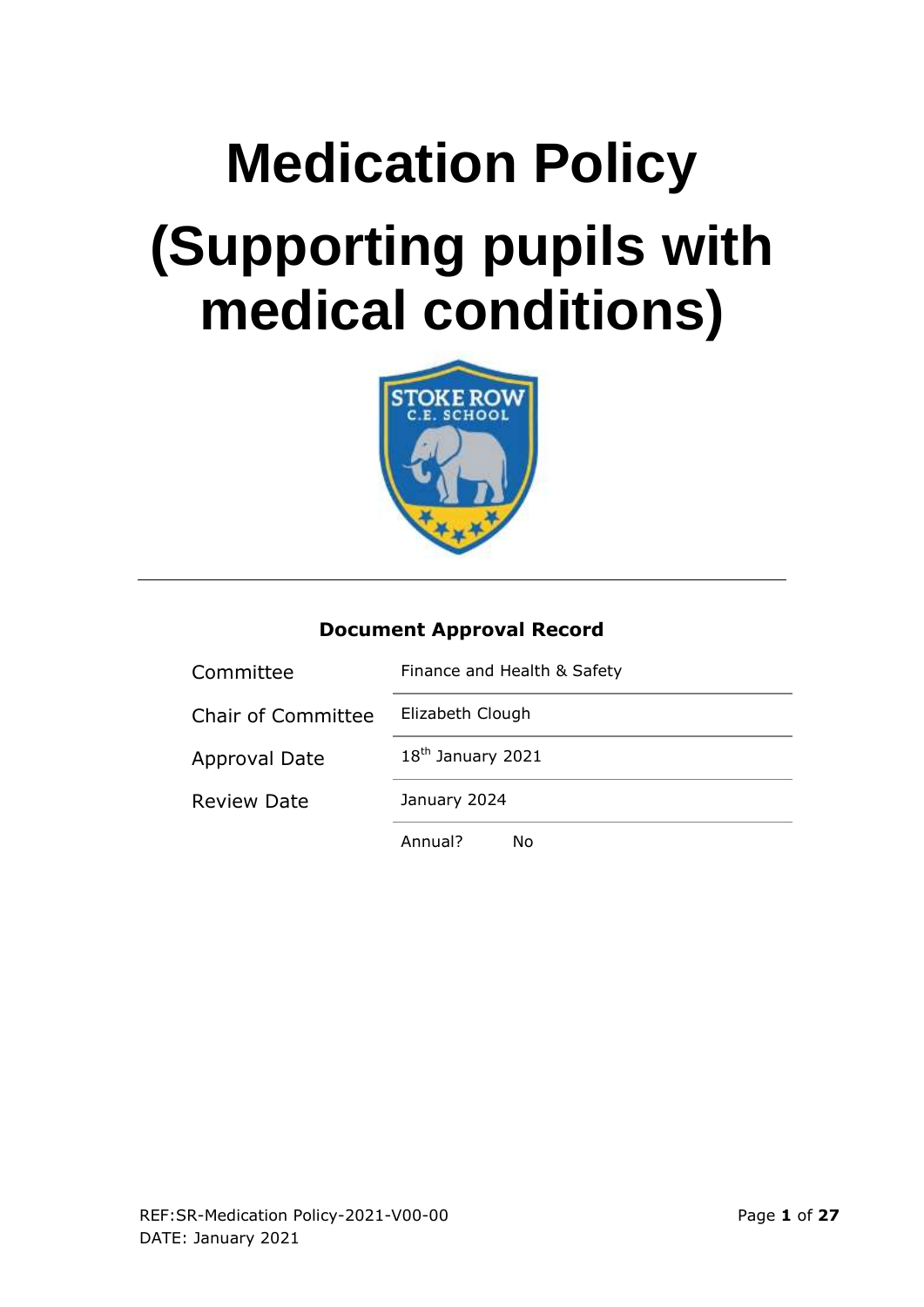# **Medication Policy (Supporting pupils with medical conditions)**



#### **Document Approval Record**

| Committee                 | Finance and Health & Safety |  |  |
|---------------------------|-----------------------------|--|--|
| <b>Chair of Committee</b> | Elizabeth Clough            |  |  |
| <b>Approval Date</b>      | $18th$ January 2021         |  |  |
| <b>Review Date</b>        | January 2024                |  |  |
|                           | Annual?<br>Nο               |  |  |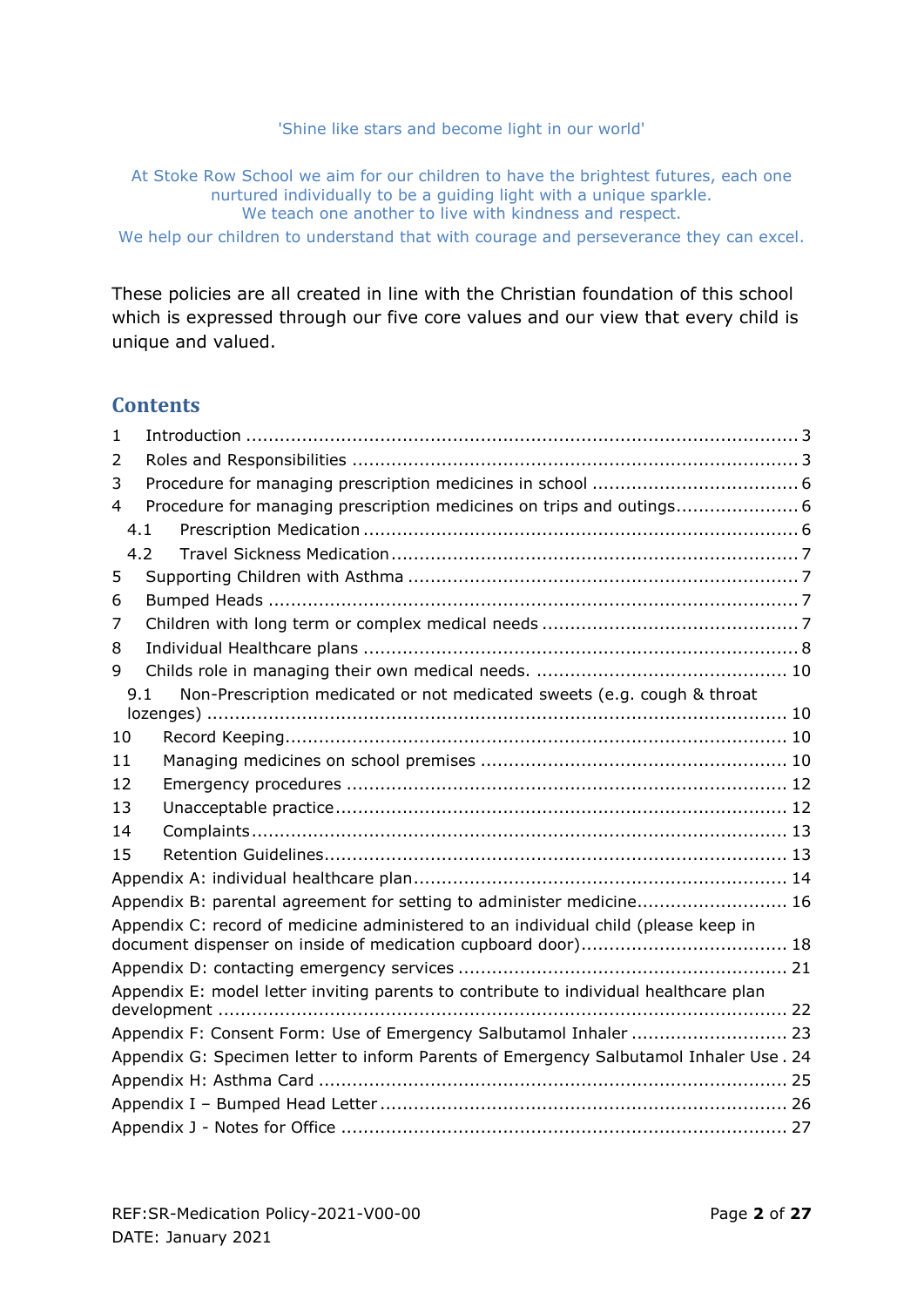#### 'Shine like stars and become light in our world'

At Stoke Row School we aim for our children to have the brightest futures, each one nurtured individually to be a guiding light with a unique sparkle. We teach one another to live with kindness and respect.

We help our children to understand that with courage and perseverance they can excel.

These policies are all created in line with the Christian foundation of this school which is expressed through our five core values and our view that every child is unique and valued.

#### **Contents**

| $\mathbf{1}$ |                                                                                        |  |
|--------------|----------------------------------------------------------------------------------------|--|
| 2            |                                                                                        |  |
| 3            |                                                                                        |  |
| 4            | Procedure for managing prescription medicines on trips and outings 6                   |  |
|              | 4.1                                                                                    |  |
|              | 4.2                                                                                    |  |
| 5            |                                                                                        |  |
| 6            |                                                                                        |  |
| 7            |                                                                                        |  |
| 8            |                                                                                        |  |
| 9            |                                                                                        |  |
|              | Non-Prescription medicated or not medicated sweets (e.g. cough & throat<br>9.1         |  |
|              |                                                                                        |  |
| 10           |                                                                                        |  |
| 11           |                                                                                        |  |
| 12           |                                                                                        |  |
| 13           |                                                                                        |  |
| 14           |                                                                                        |  |
| 15           |                                                                                        |  |
|              |                                                                                        |  |
|              | Appendix B: parental agreement for setting to administer medicine 16                   |  |
|              | Appendix C: record of medicine administered to an individual child (please keep in     |  |
|              |                                                                                        |  |
|              |                                                                                        |  |
|              | Appendix E: model letter inviting parents to contribute to individual healthcare plan  |  |
|              | Appendix F: Consent Form: Use of Emergency Salbutamol Inhaler  23                      |  |
|              | Appendix G: Specimen letter to inform Parents of Emergency Salbutamol Inhaler Use . 24 |  |
|              |                                                                                        |  |
|              |                                                                                        |  |
|              |                                                                                        |  |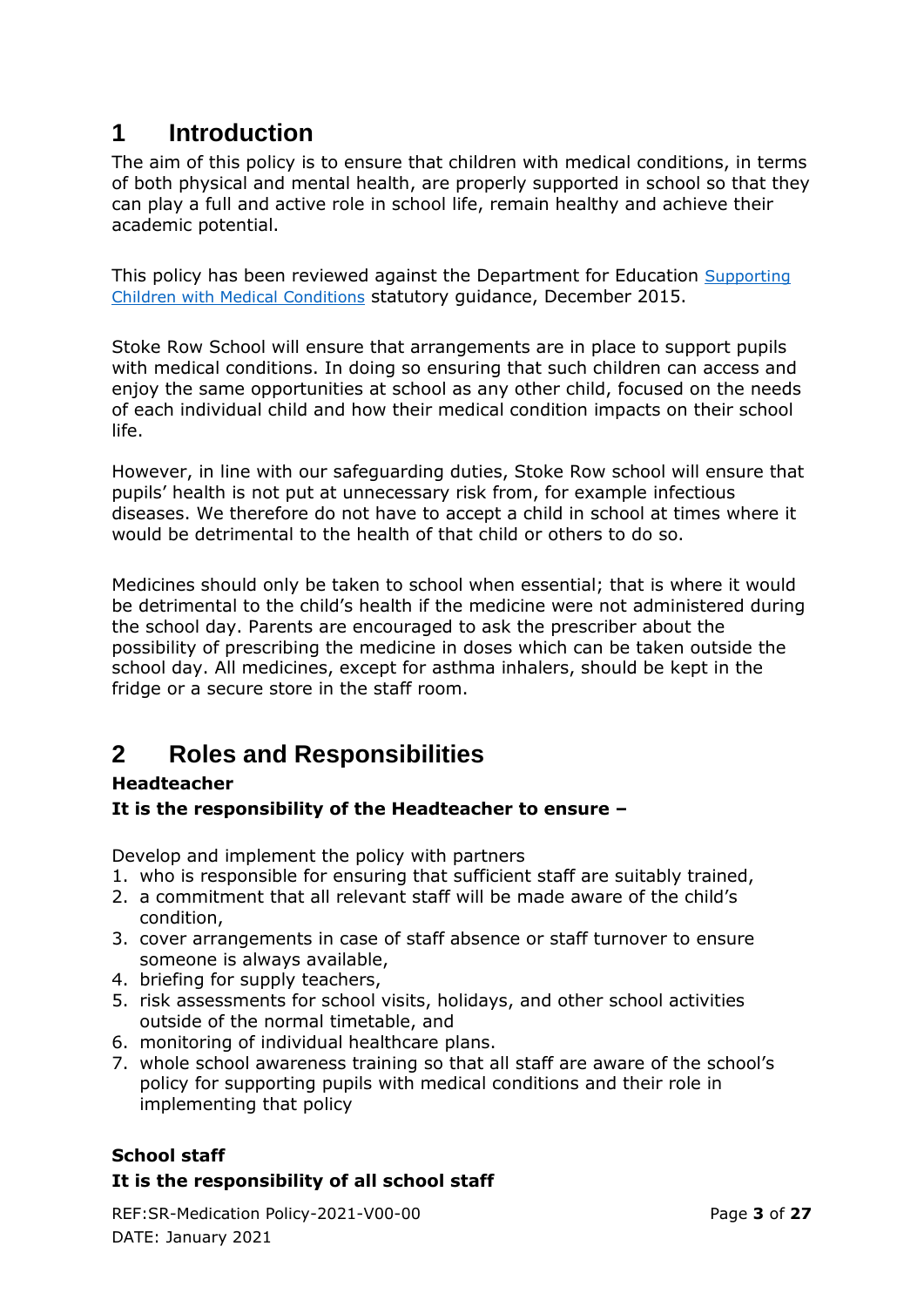## <span id="page-2-0"></span>**1 Introduction**

The aim of this policy is to ensure that children with medical conditions, in terms of both physical and mental health, are properly supported in school so that they can play a full and active role in school life, remain healthy and achieve their academic potential.

This policy has been reviewed against the Department for Education [Supporting](https://assets.publishing.service.gov.uk/government/uploads/system/uploads/attachment_data/file/803956/supporting-pupils-at-school-with-medical-conditions.pdf)  [Children with Medical Conditions](https://assets.publishing.service.gov.uk/government/uploads/system/uploads/attachment_data/file/803956/supporting-pupils-at-school-with-medical-conditions.pdf) statutory guidance, December 2015.

Stoke Row School will ensure that arrangements are in place to support pupils with medical conditions. In doing so ensuring that such children can access and enjoy the same opportunities at school as any other child, focused on the needs of each individual child and how their medical condition impacts on their school life.

However, in line with our safeguarding duties, Stoke Row school will ensure that pupils' health is not put at unnecessary risk from, for example infectious diseases. We therefore do not have to accept a child in school at times where it would be detrimental to the health of that child or others to do so.

Medicines should only be taken to school when essential; that is where it would be detrimental to the child's health if the medicine were not administered during the school day. Parents are encouraged to ask the prescriber about the possibility of prescribing the medicine in doses which can be taken outside the school day. All medicines, except for asthma inhalers, should be kept in the fridge or a secure store in the staff room.

# <span id="page-2-1"></span>**2 Roles and Responsibilities**

#### **Headteacher**

#### **It is the responsibility of the Headteacher to ensure –**

Develop and implement the policy with partners

- 1. who is responsible for ensuring that sufficient staff are suitably trained,
- 2. a commitment that all relevant staff will be made aware of the child's condition,
- 3. cover arrangements in case of staff absence or staff turnover to ensure someone is always available,
- 4. briefing for supply teachers,
- 5. risk assessments for school visits, holidays, and other school activities outside of the normal timetable, and
- 6. monitoring of individual healthcare plans.
- 7. whole school awareness training so that all staff are aware of the school's policy for supporting pupils with medical conditions and their role in implementing that policy

#### **School staff**

#### **It is the responsibility of all school staff**

REF:SR-Medication Policy-2021-V00-00 Page **3** of **27** DATE: January 2021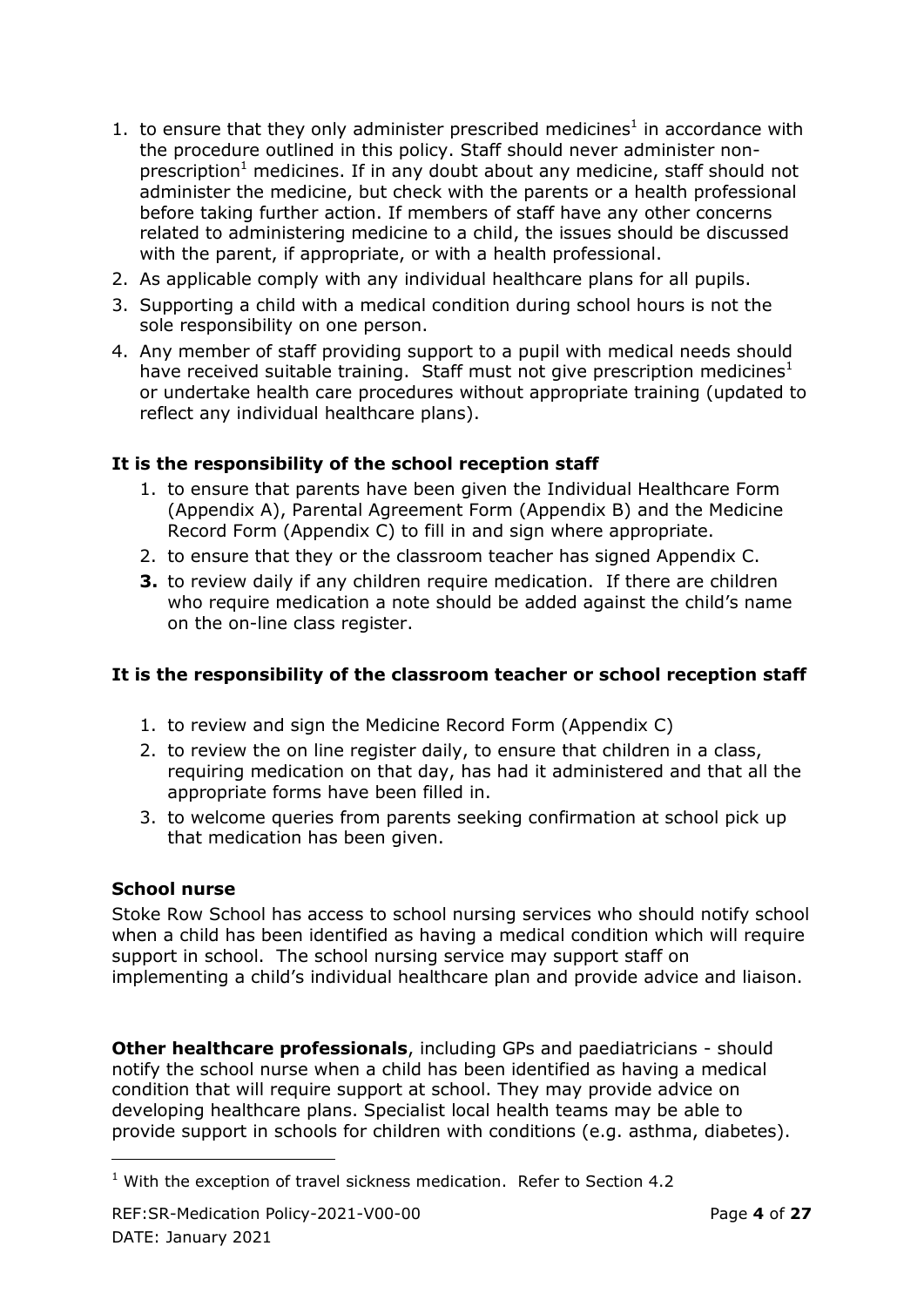- 1. to ensure that they only administer prescribed medicines<sup>1</sup> in accordance with the procedure outlined in this policy. Staff should never administer nonprescription<sup>1</sup> medicines. If in any doubt about any medicine, staff should not administer the medicine, but check with the parents or a health professional before taking further action. If members of staff have any other concerns related to administering medicine to a child, the issues should be discussed with the parent, if appropriate, or with a health professional.
- 2. As applicable comply with any individual healthcare plans for all pupils.
- 3. Supporting a child with a medical condition during school hours is not the sole responsibility on one person.
- 4. Any member of staff providing support to a pupil with medical needs should have received suitable training. Staff must not give prescription medicines<sup>1</sup> or undertake health care procedures without appropriate training (updated to reflect any individual healthcare plans).

#### **It is the responsibility of the school reception staff**

- 1. to ensure that parents have been given the Individual Healthcare Form (Appendix A), Parental Agreement Form (Appendix B) and the Medicine Record Form (Appendix C) to fill in and sign where appropriate.
- 2. to ensure that they or the classroom teacher has signed Appendix C.
- **3.** to review daily if any children require medication. If there are children who require medication a note should be added against the child's name on the on-line class register.

#### **It is the responsibility of the classroom teacher or school reception staff**

- 1. to review and sign the Medicine Record Form (Appendix C)
- 2. to review the on line register daily, to ensure that children in a class, requiring medication on that day, has had it administered and that all the appropriate forms have been filled in.
- 3. to welcome queries from parents seeking confirmation at school pick up that medication has been given.

#### **School nurse**

-

Stoke Row School has access to school nursing services who should notify school when a child has been identified as having a medical condition which will require support in school. The school nursing service may support staff on implementing a child's individual healthcare plan and provide advice and liaison.

**Other healthcare professionals**, including GPs and paediatricians - should notify the school nurse when a child has been identified as having a medical condition that will require support at school. They may provide advice on developing healthcare plans. Specialist local health teams may be able to provide support in schools for children with conditions (e.g. asthma, diabetes).

 $1$  With the exception of travel sickness medication. Refer to Section 4.2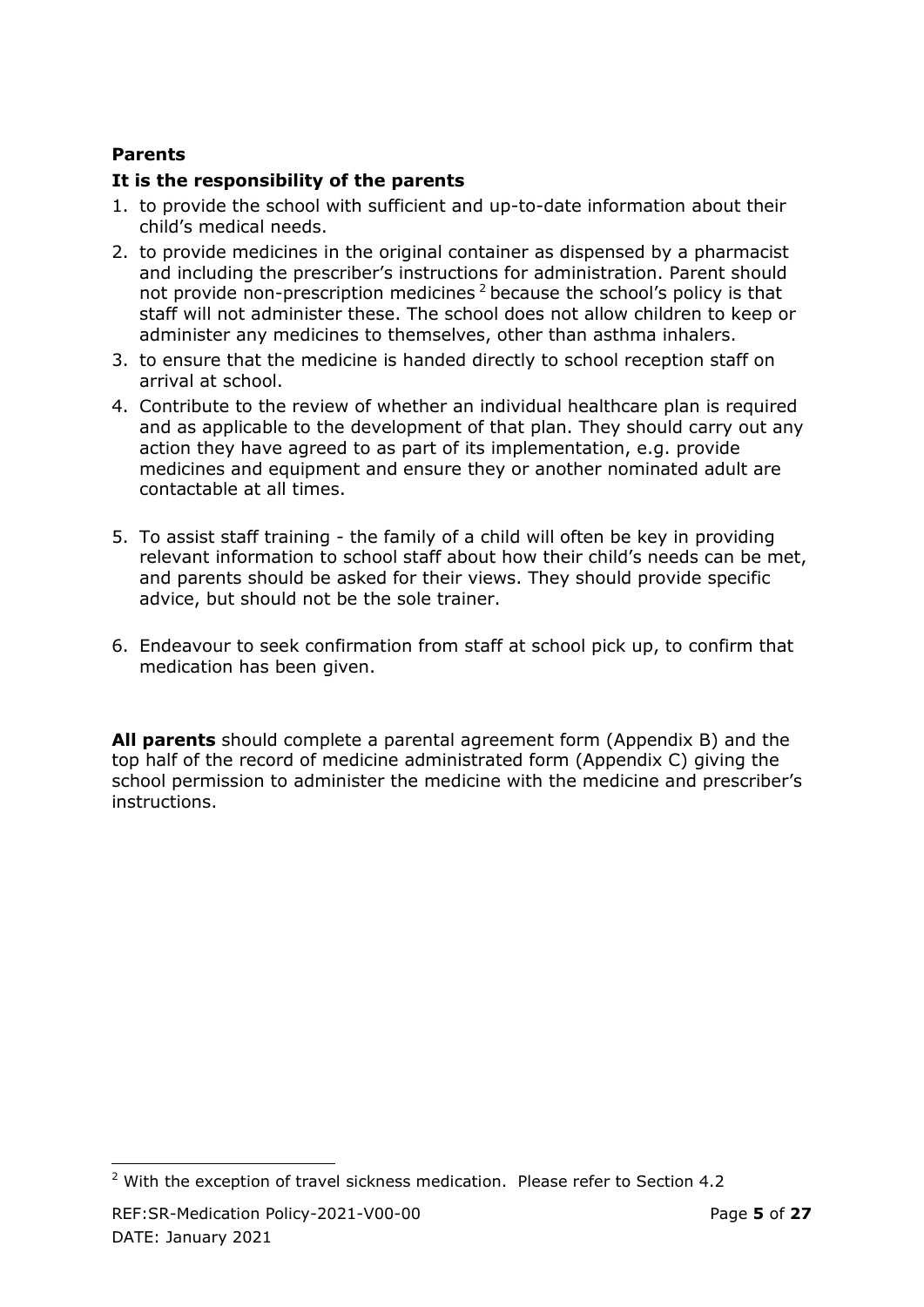#### **Parents**

#### **It is the responsibility of the parents**

- 1. to provide the school with sufficient and up-to-date information about their child's medical needs.
- 2. to provide medicines in the original container as dispensed by a pharmacist and including the prescriber's instructions for administration. Parent should not provide non-prescription medicines<sup>2</sup> because the school's policy is that staff will not administer these. The school does not allow children to keep or administer any medicines to themselves, other than asthma inhalers.
- 3. to ensure that the medicine is handed directly to school reception staff on arrival at school.
- 4. Contribute to the review of whether an individual healthcare plan is required and as applicable to the development of that plan. They should carry out any action they have agreed to as part of its implementation, e.g. provide medicines and equipment and ensure they or another nominated adult are contactable at all times.
- 5. To assist staff training the family of a child will often be key in providing relevant information to school staff about how their child's needs can be met, and parents should be asked for their views. They should provide specific advice, but should not be the sole trainer.
- 6. Endeavour to seek confirmation from staff at school pick up, to confirm that medication has been given.

**All parents** should complete a parental agreement form (Appendix B) and the top half of the record of medicine administrated form (Appendix C) giving the school permission to administer the medicine with the medicine and prescriber's instructions.

<sup>-</sup> $2$  With the exception of travel sickness medication. Please refer to Section 4.2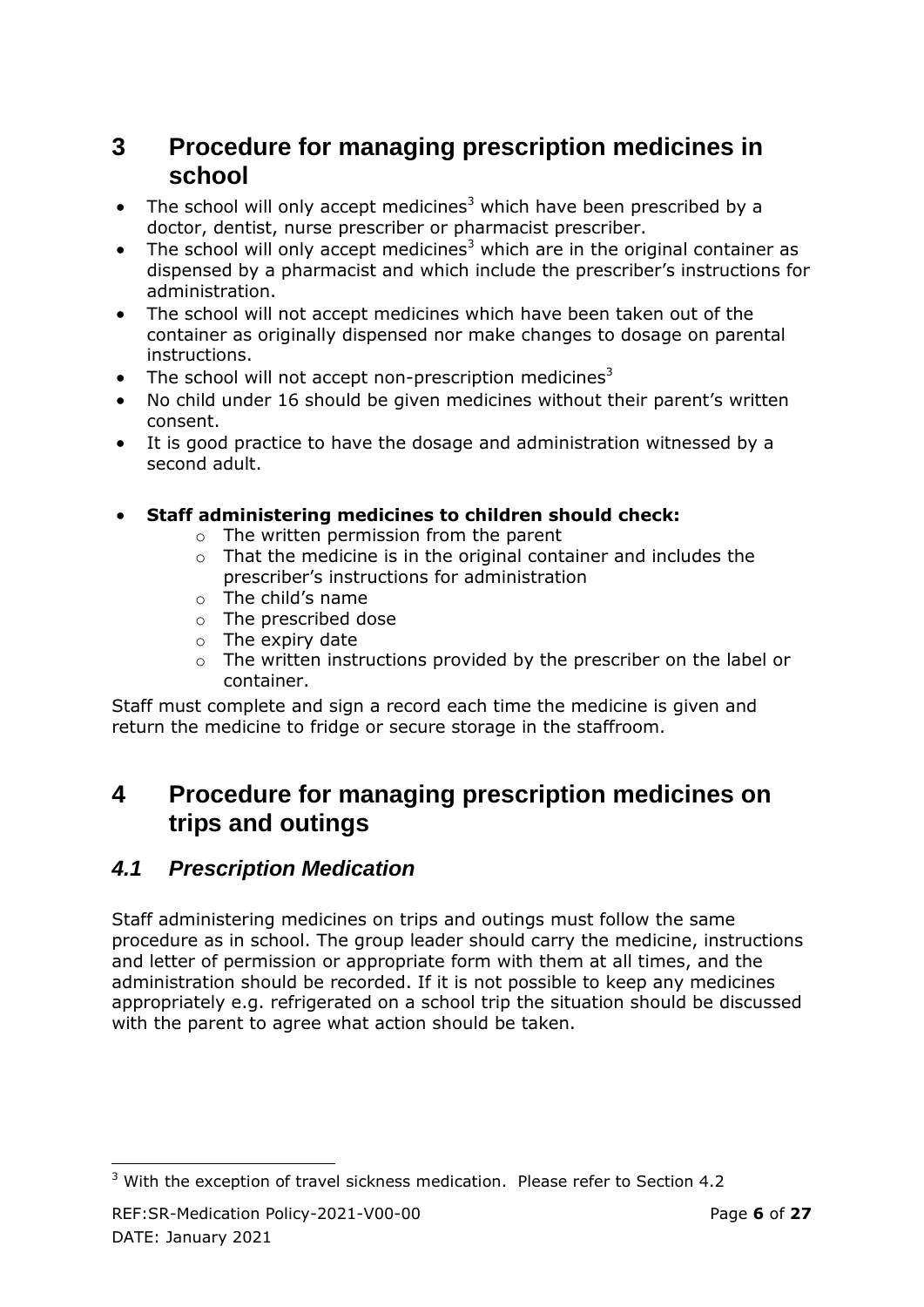## <span id="page-5-0"></span>**3 Procedure for managing prescription medicines in school**

- The school will only accept medicines<sup>3</sup> which have been prescribed by a doctor, dentist, nurse prescriber or pharmacist prescriber.
- The school will only accept medicines<sup>3</sup> which are in the original container as dispensed by a pharmacist and which include the prescriber's instructions for administration.
- The school will not accept medicines which have been taken out of the container as originally dispensed nor make changes to dosage on parental instructions.
- The school will not accept non-prescription medicines<sup>3</sup>
- No child under 16 should be given medicines without their parent's written consent.
- It is good practice to have the dosage and administration witnessed by a second adult.
- **Staff administering medicines to children should check:**
	- o The written permission from the parent
	- $\circ$  That the medicine is in the original container and includes the prescriber's instructions for administration
	- o The child's name
	- o The prescribed dose
	- $\circ$  The expiry date
	- o The written instructions provided by the prescriber on the label or container.

Staff must complete and sign a record each time the medicine is given and return the medicine to fridge or secure storage in the staffroom.

## <span id="page-5-1"></span>**4 Procedure for managing prescription medicines on trips and outings**

### <span id="page-5-2"></span>*4.1 Prescription Medication*

Staff administering medicines on trips and outings must follow the same procedure as in school. The group leader should carry the medicine, instructions and letter of permission or appropriate form with them at all times, and the administration should be recorded. If it is not possible to keep any medicines appropriately e.g. refrigerated on a school trip the situation should be discussed with the parent to agree what action should be taken.

<sup>-</sup> $3$  With the exception of travel sickness medication. Please refer to Section 4.2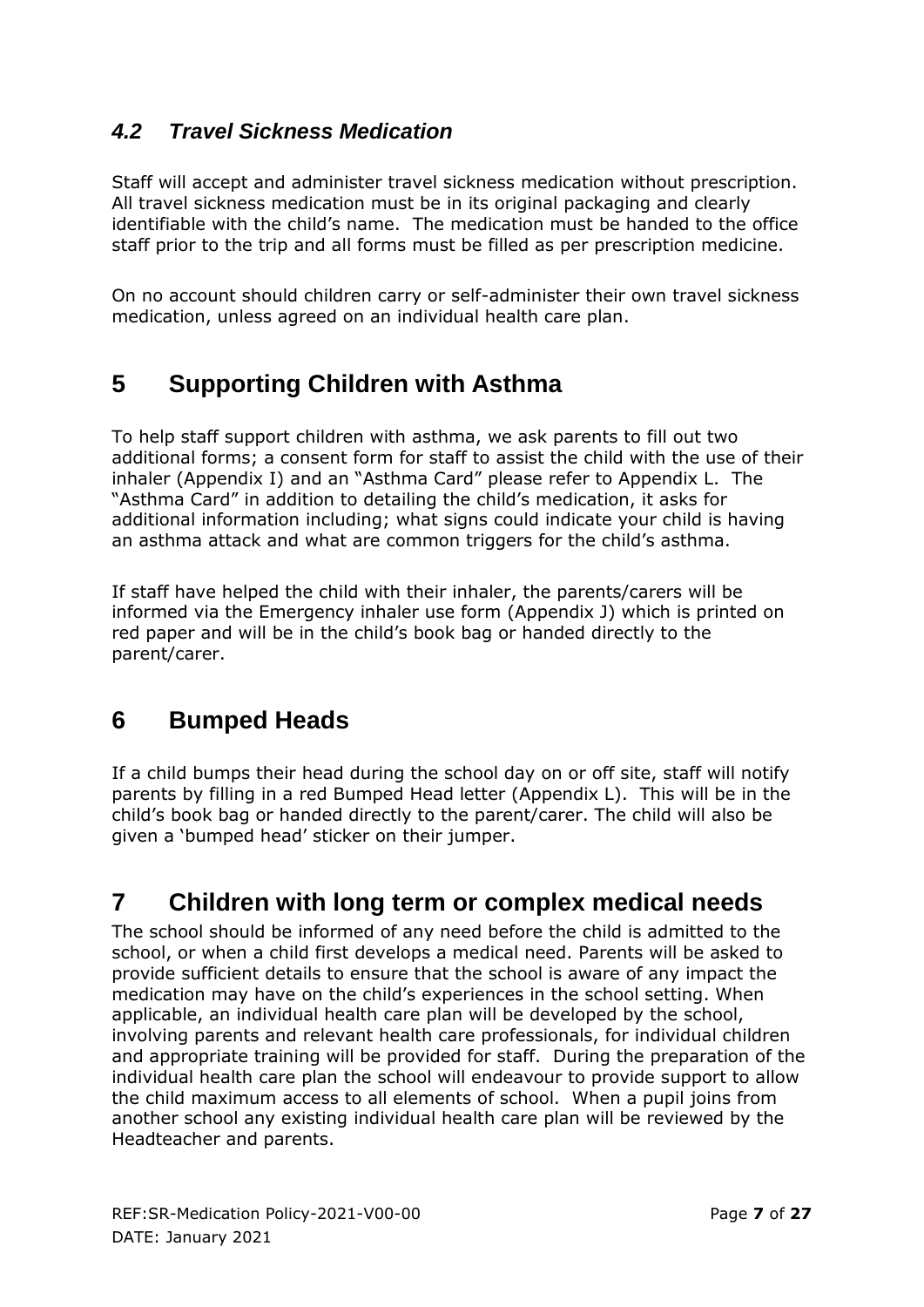## <span id="page-6-0"></span>*4.2 Travel Sickness Medication*

Staff will accept and administer travel sickness medication without prescription. All travel sickness medication must be in its original packaging and clearly identifiable with the child's name. The medication must be handed to the office staff prior to the trip and all forms must be filled as per prescription medicine.

On no account should children carry or self-administer their own travel sickness medication, unless agreed on an individual health care plan.

## <span id="page-6-1"></span>**5 Supporting Children with Asthma**

To help staff support children with asthma, we ask parents to fill out two additional forms; a consent form for staff to assist the child with the use of their inhaler (Appendix I) and an "Asthma Card" please refer to Appendix L. The "Asthma Card" in addition to detailing the child's medication, it asks for additional information including; what signs could indicate your child is having an asthma attack and what are common triggers for the child's asthma.

If staff have helped the child with their inhaler, the parents/carers will be informed via the Emergency inhaler use form (Appendix J) which is printed on red paper and will be in the child's book bag or handed directly to the parent/carer.

## <span id="page-6-2"></span>**6 Bumped Heads**

If a child bumps their head during the school day on or off site, staff will notify parents by filling in a red Bumped Head letter (Appendix L). This will be in the child's book bag or handed directly to the parent/carer. The child will also be given a 'bumped head' sticker on their jumper.

## <span id="page-6-3"></span>**7 Children with long term or complex medical needs**

The school should be informed of any need before the child is admitted to the school, or when a child first develops a medical need. Parents will be asked to provide sufficient details to ensure that the school is aware of any impact the medication may have on the child's experiences in the school setting. When applicable, an individual health care plan will be developed by the school, involving parents and relevant health care professionals, for individual children and appropriate training will be provided for staff. During the preparation of the individual health care plan the school will endeavour to provide support to allow the child maximum access to all elements of school. When a pupil joins from another school any existing individual health care plan will be reviewed by the Headteacher and parents.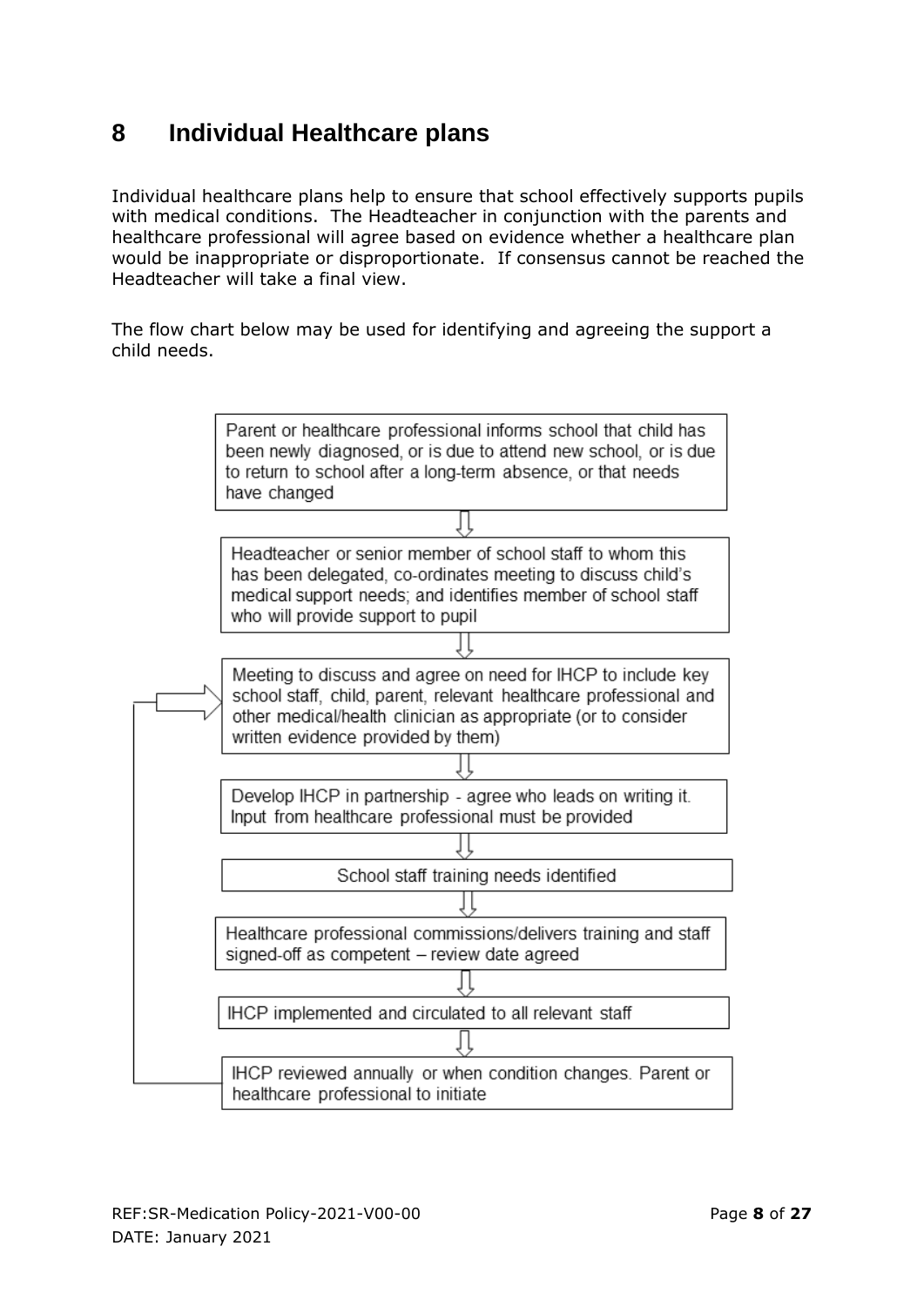## <span id="page-7-0"></span>**8 Individual Healthcare plans**

Individual healthcare plans help to ensure that school effectively supports pupils with medical conditions. The Headteacher in conjunction with the parents and healthcare professional will agree based on evidence whether a healthcare plan would be inappropriate or disproportionate. If consensus cannot be reached the Headteacher will take a final view.

The flow chart below may be used for identifying and agreeing the support a child needs.

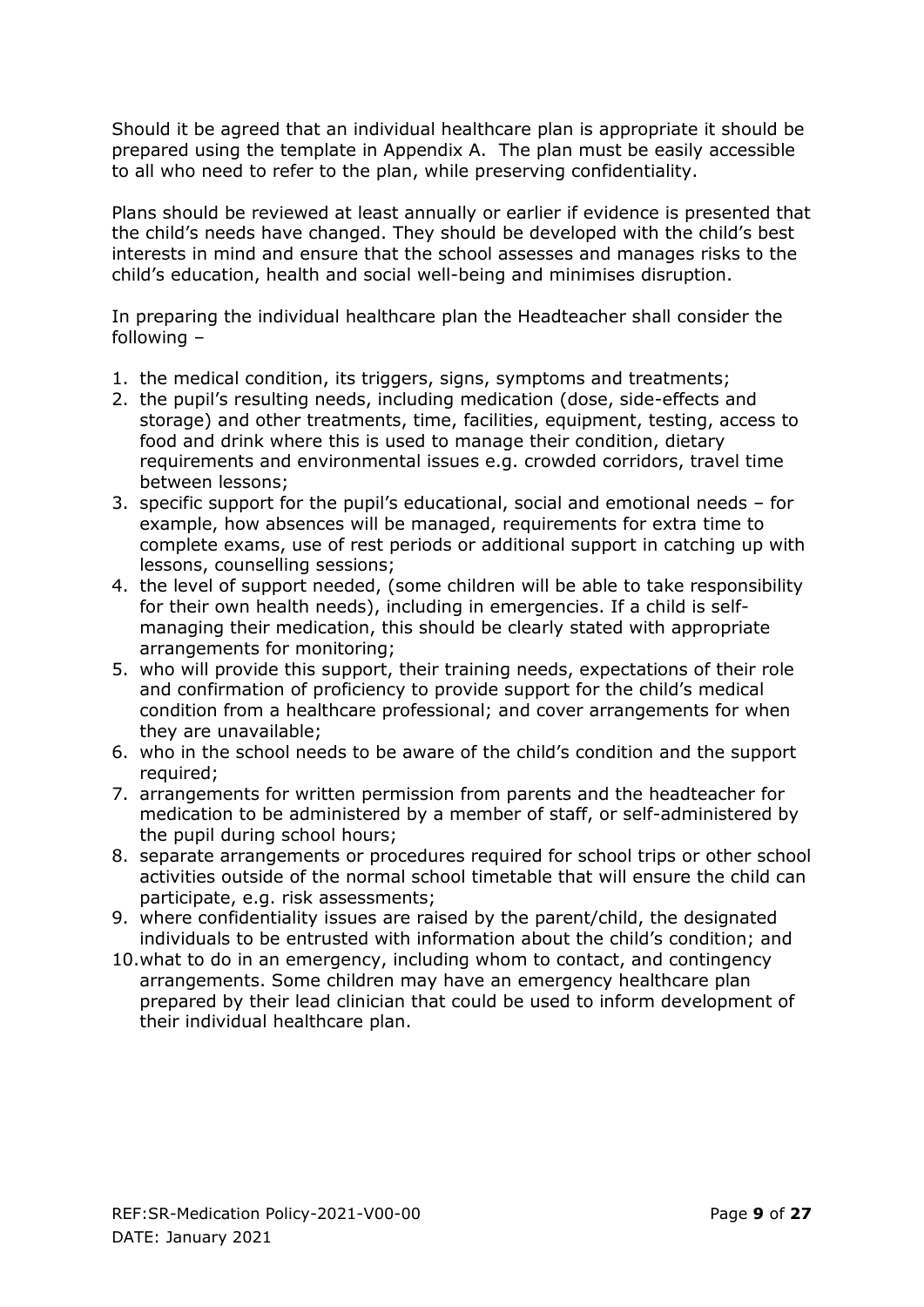Should it be agreed that an individual healthcare plan is appropriate it should be prepared using the template in Appendix A. The plan must be easily accessible to all who need to refer to the plan, while preserving confidentiality.

Plans should be reviewed at least annually or earlier if evidence is presented that the child's needs have changed. They should be developed with the child's best interests in mind and ensure that the school assesses and manages risks to the child's education, health and social well-being and minimises disruption.

In preparing the individual healthcare plan the Headteacher shall consider the following –

- 1. the medical condition, its triggers, signs, symptoms and treatments;
- 2. the pupil's resulting needs, including medication (dose, side-effects and storage) and other treatments, time, facilities, equipment, testing, access to food and drink where this is used to manage their condition, dietary requirements and environmental issues e.g. crowded corridors, travel time between lessons;
- 3. specific support for the pupil's educational, social and emotional needs for example, how absences will be managed, requirements for extra time to complete exams, use of rest periods or additional support in catching up with lessons, counselling sessions;
- 4. the level of support needed, (some children will be able to take responsibility for their own health needs), including in emergencies. If a child is selfmanaging their medication, this should be clearly stated with appropriate arrangements for monitoring;
- 5. who will provide this support, their training needs, expectations of their role and confirmation of proficiency to provide support for the child's medical condition from a healthcare professional; and cover arrangements for when they are unavailable;
- 6. who in the school needs to be aware of the child's condition and the support required;
- 7. arrangements for written permission from parents and the headteacher for medication to be administered by a member of staff, or self-administered by the pupil during school hours;
- 8. separate arrangements or procedures required for school trips or other school activities outside of the normal school timetable that will ensure the child can participate, e.g. risk assessments;
- 9. where confidentiality issues are raised by the parent/child, the designated individuals to be entrusted with information about the child's condition; and
- 10.what to do in an emergency, including whom to contact, and contingency arrangements. Some children may have an emergency healthcare plan prepared by their lead clinician that could be used to inform development of their individual healthcare plan.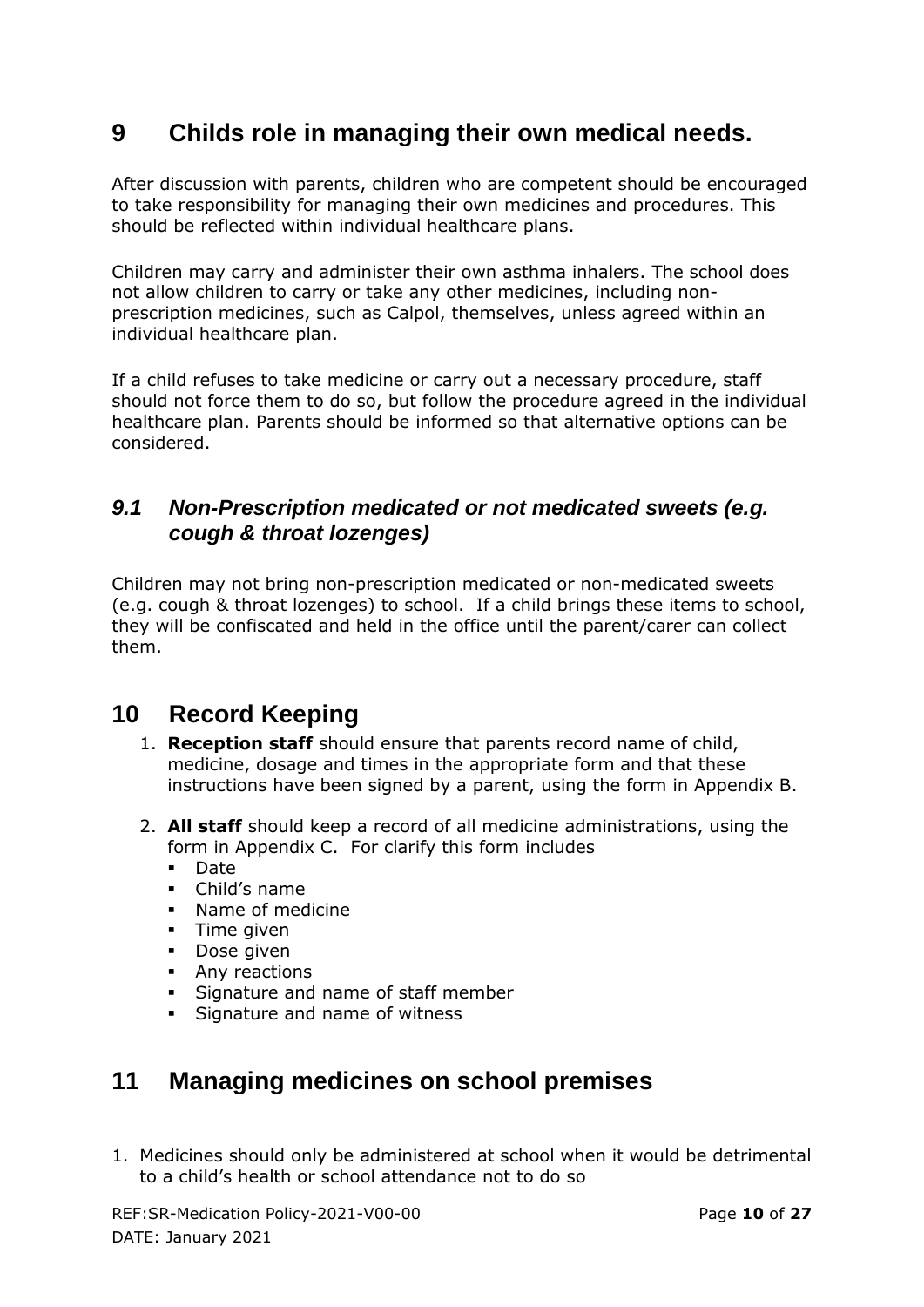## <span id="page-9-0"></span>**9 Childs role in managing their own medical needs.**

After discussion with parents, children who are competent should be encouraged to take responsibility for managing their own medicines and procedures. This should be reflected within individual healthcare plans.

Children may carry and administer their own asthma inhalers. The school does not allow children to carry or take any other medicines, including nonprescription medicines, such as Calpol, themselves, unless agreed within an individual healthcare plan.

If a child refuses to take medicine or carry out a necessary procedure, staff should not force them to do so, but follow the procedure agreed in the individual healthcare plan. Parents should be informed so that alternative options can be considered.

### <span id="page-9-1"></span>*9.1 Non-Prescription medicated or not medicated sweets (e.g. cough & throat lozenges)*

Children may not bring non-prescription medicated or non-medicated sweets (e.g. cough & throat lozenges) to school. If a child brings these items to school, they will be confiscated and held in the office until the parent/carer can collect them.

## <span id="page-9-2"></span>**10 Record Keeping**

- 1. **Reception staff** should ensure that parents record name of child, medicine, dosage and times in the appropriate form and that these instructions have been signed by a parent, using the form in Appendix B.
- 2. **All staff** should keep a record of all medicine administrations, using the form in Appendix C. For clarify this form includes
	- Date
	- Child's name
	- Name of medicine
	- $\blacksquare$  Time given
	- **Dose given**
	- **Any reactions**
	- Signature and name of staff member
	- Signature and name of witness

## <span id="page-9-3"></span>**11 Managing medicines on school premises**

1. Medicines should only be administered at school when it would be detrimental to a child's health or school attendance not to do so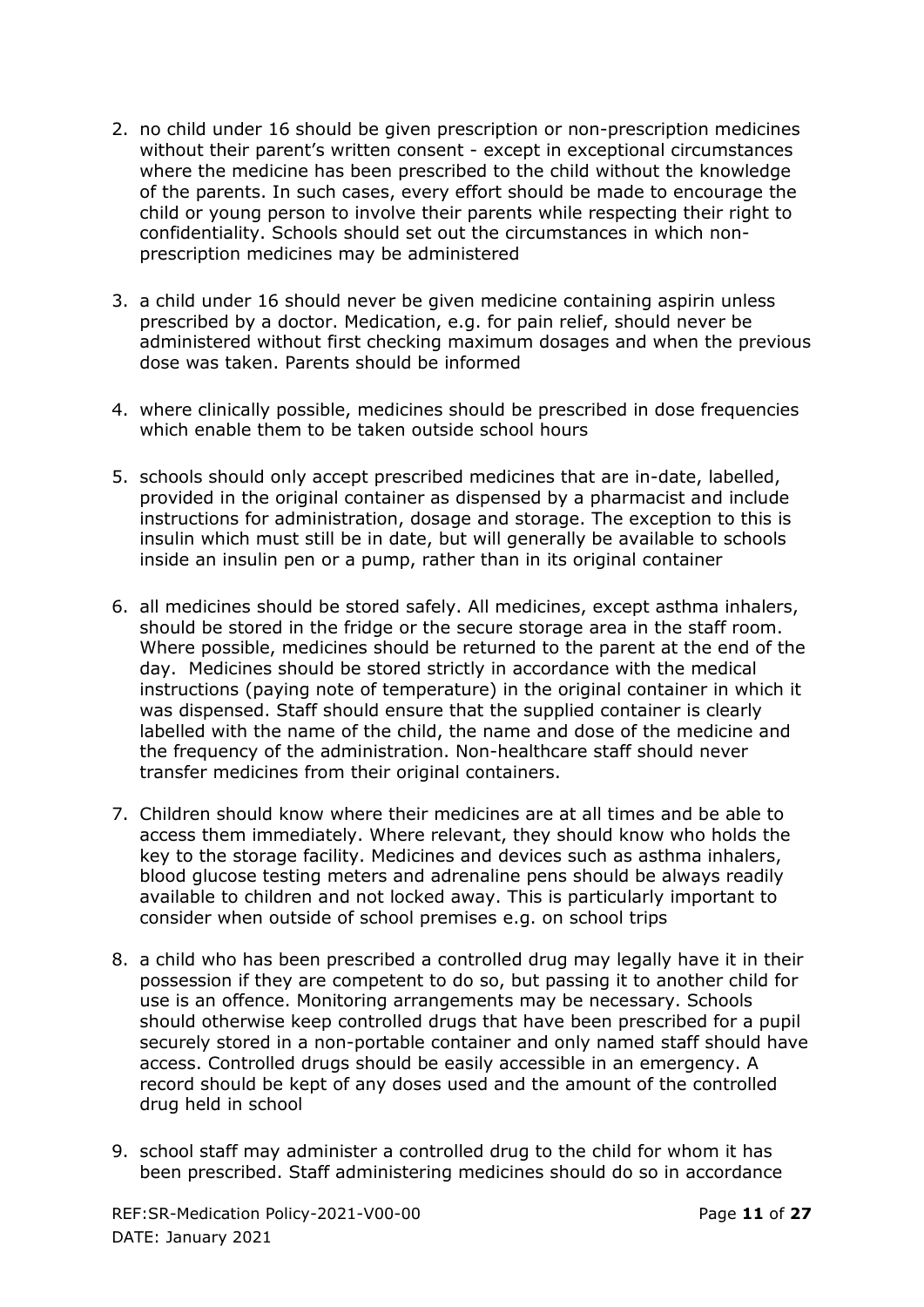- 2. no child under 16 should be given prescription or non-prescription medicines without their parent's written consent - except in exceptional circumstances where the medicine has been prescribed to the child without the knowledge of the parents. In such cases, every effort should be made to encourage the child or young person to involve their parents while respecting their right to confidentiality. Schools should set out the circumstances in which nonprescription medicines may be administered
- 3. a child under 16 should never be given medicine containing aspirin unless prescribed by a doctor. Medication, e.g. for pain relief, should never be administered without first checking maximum dosages and when the previous dose was taken. Parents should be informed
- 4. where clinically possible, medicines should be prescribed in dose frequencies which enable them to be taken outside school hours
- 5. schools should only accept prescribed medicines that are in-date, labelled, provided in the original container as dispensed by a pharmacist and include instructions for administration, dosage and storage. The exception to this is insulin which must still be in date, but will generally be available to schools inside an insulin pen or a pump, rather than in its original container
- 6. all medicines should be stored safely. All medicines, except asthma inhalers, should be stored in the fridge or the secure storage area in the staff room. Where possible, medicines should be returned to the parent at the end of the day. Medicines should be stored strictly in accordance with the medical instructions (paying note of temperature) in the original container in which it was dispensed. Staff should ensure that the supplied container is clearly labelled with the name of the child, the name and dose of the medicine and the frequency of the administration. Non-healthcare staff should never transfer medicines from their original containers.
- 7. Children should know where their medicines are at all times and be able to access them immediately. Where relevant, they should know who holds the key to the storage facility. Medicines and devices such as asthma inhalers, blood glucose testing meters and adrenaline pens should be always readily available to children and not locked away. This is particularly important to consider when outside of school premises e.g. on school trips
- 8. a child who has been prescribed a controlled drug may legally have it in their possession if they are competent to do so, but passing it to another child for use is an offence. Monitoring arrangements may be necessary. Schools should otherwise keep controlled drugs that have been prescribed for a pupil securely stored in a non-portable container and only named staff should have access. Controlled drugs should be easily accessible in an emergency. A record should be kept of any doses used and the amount of the controlled drug held in school
- 9. school staff may administer a controlled drug to the child for whom it has been prescribed. Staff administering medicines should do so in accordance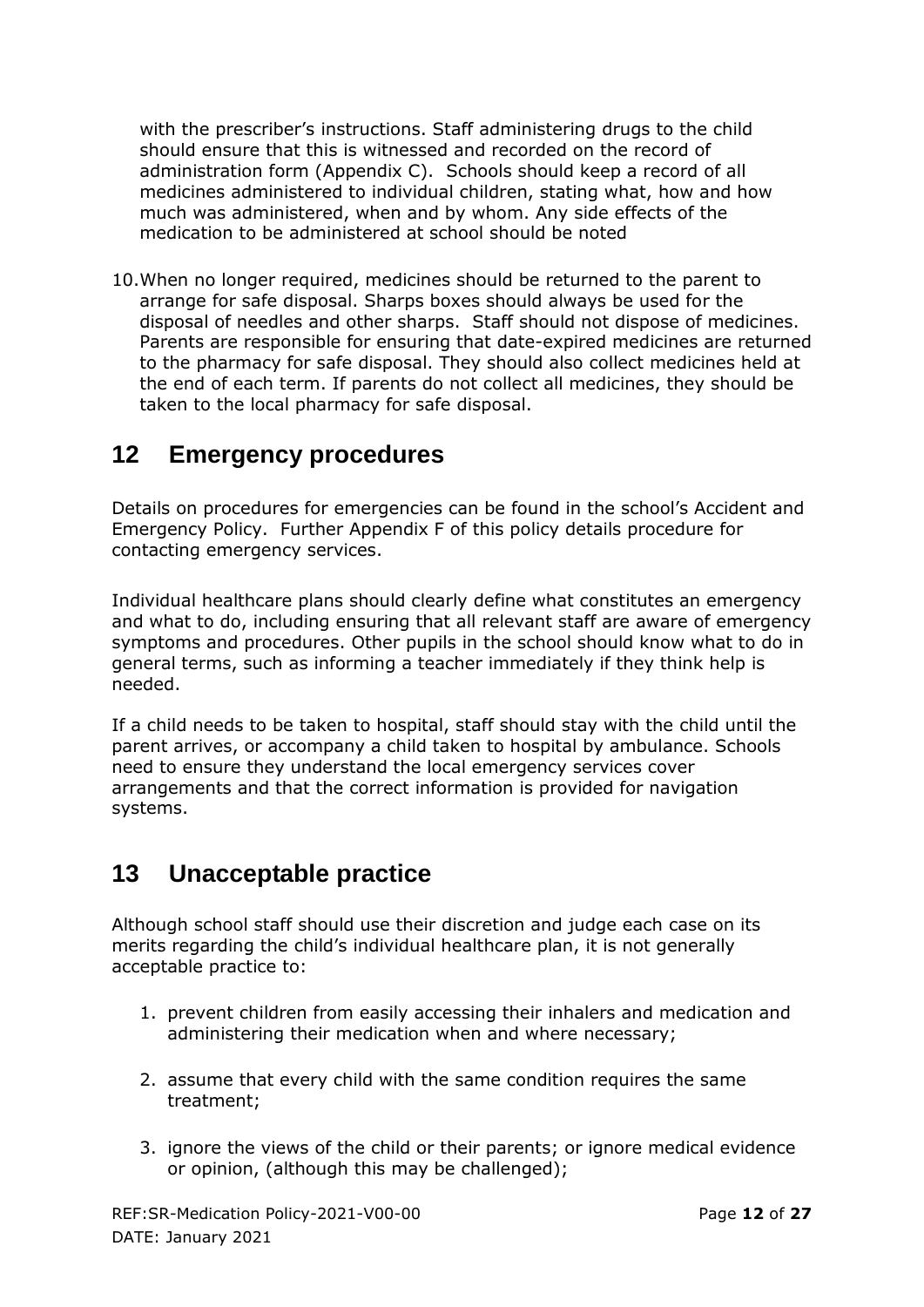with the prescriber's instructions. Staff administering drugs to the child should ensure that this is witnessed and recorded on the record of administration form (Appendix C). Schools should keep a record of all medicines administered to individual children, stating what, how and how much was administered, when and by whom. Any side effects of the medication to be administered at school should be noted

10.When no longer required, medicines should be returned to the parent to arrange for safe disposal. Sharps boxes should always be used for the disposal of needles and other sharps. Staff should not dispose of medicines. Parents are responsible for ensuring that date-expired medicines are returned to the pharmacy for safe disposal. They should also collect medicines held at the end of each term. If parents do not collect all medicines, they should be taken to the local pharmacy for safe disposal.

## <span id="page-11-0"></span>**12 Emergency procedures**

Details on procedures for emergencies can be found in the school's Accident and Emergency Policy. Further Appendix F of this policy details procedure for contacting emergency services.

Individual healthcare plans should clearly define what constitutes an emergency and what to do, including ensuring that all relevant staff are aware of emergency symptoms and procedures. Other pupils in the school should know what to do in general terms, such as informing a teacher immediately if they think help is needed.

If a child needs to be taken to hospital, staff should stay with the child until the parent arrives, or accompany a child taken to hospital by ambulance. Schools need to ensure they understand the local emergency services cover arrangements and that the correct information is provided for navigation systems.

## <span id="page-11-1"></span>**13 Unacceptable practice**

Although school staff should use their discretion and judge each case on its merits regarding the child's individual healthcare plan, it is not generally acceptable practice to:

- 1. prevent children from easily accessing their inhalers and medication and administering their medication when and where necessary;
- 2. assume that every child with the same condition requires the same treatment;
- 3. ignore the views of the child or their parents; or ignore medical evidence or opinion, (although this may be challenged);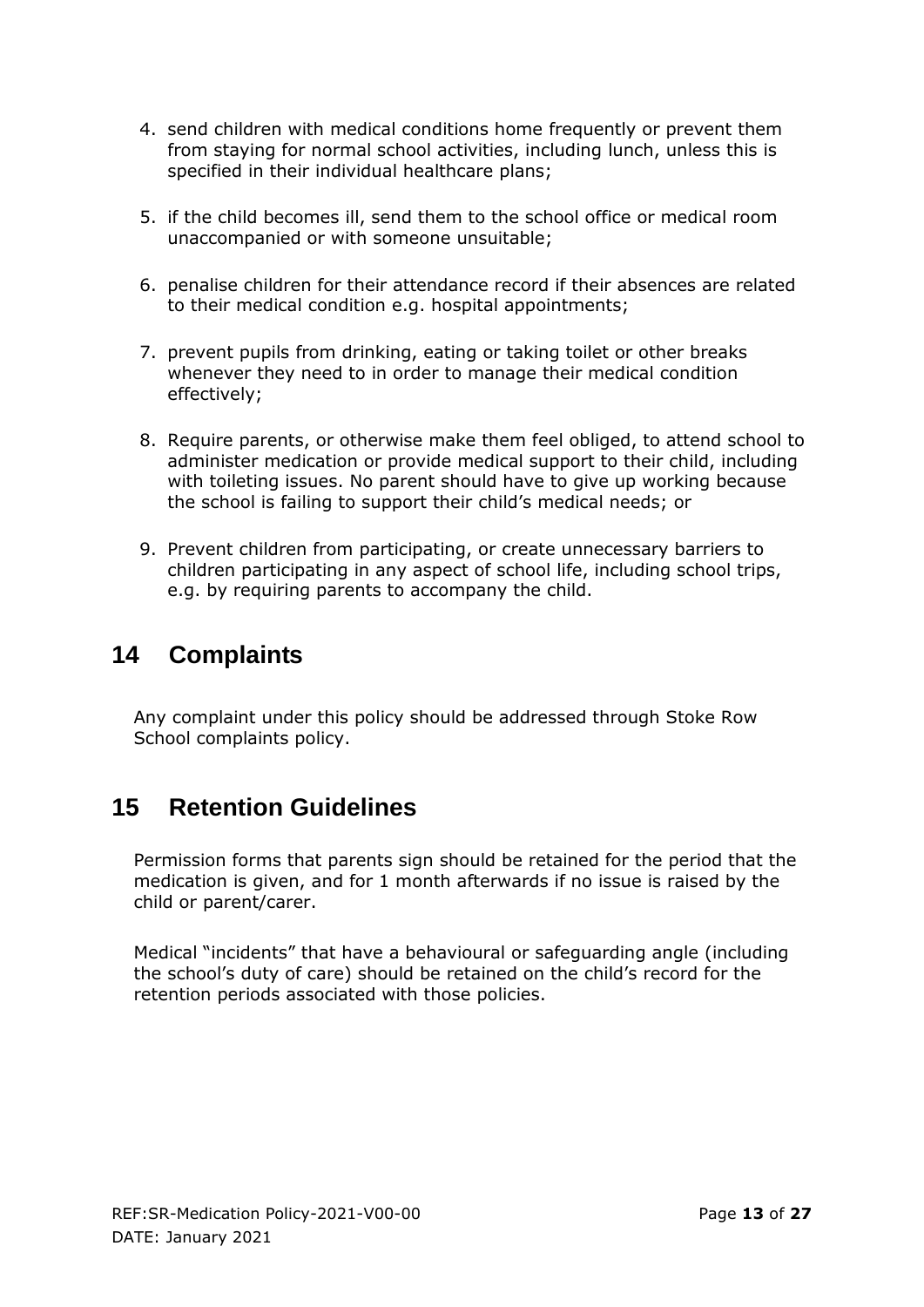- 4. send children with medical conditions home frequently or prevent them from staying for normal school activities, including lunch, unless this is specified in their individual healthcare plans;
- 5. if the child becomes ill, send them to the school office or medical room unaccompanied or with someone unsuitable;
- 6. penalise children for their attendance record if their absences are related to their medical condition e.g. hospital appointments;
- 7. prevent pupils from drinking, eating or taking toilet or other breaks whenever they need to in order to manage their medical condition effectively;
- 8. Require parents, or otherwise make them feel obliged, to attend school to administer medication or provide medical support to their child, including with toileting issues. No parent should have to give up working because the school is failing to support their child's medical needs; or
- 9. Prevent children from participating, or create unnecessary barriers to children participating in any aspect of school life, including school trips, e.g. by requiring parents to accompany the child.

## <span id="page-12-0"></span>**14 Complaints**

Any complaint under this policy should be addressed through Stoke Row School complaints policy.

## <span id="page-12-1"></span>**15 Retention Guidelines**

Permission forms that parents sign should be retained for the period that the medication is given, and for 1 month afterwards if no issue is raised by the child or parent/carer.

Medical "incidents" that have a behavioural or safeguarding angle (including the school's duty of care) should be retained on the child's record for the retention periods associated with those policies.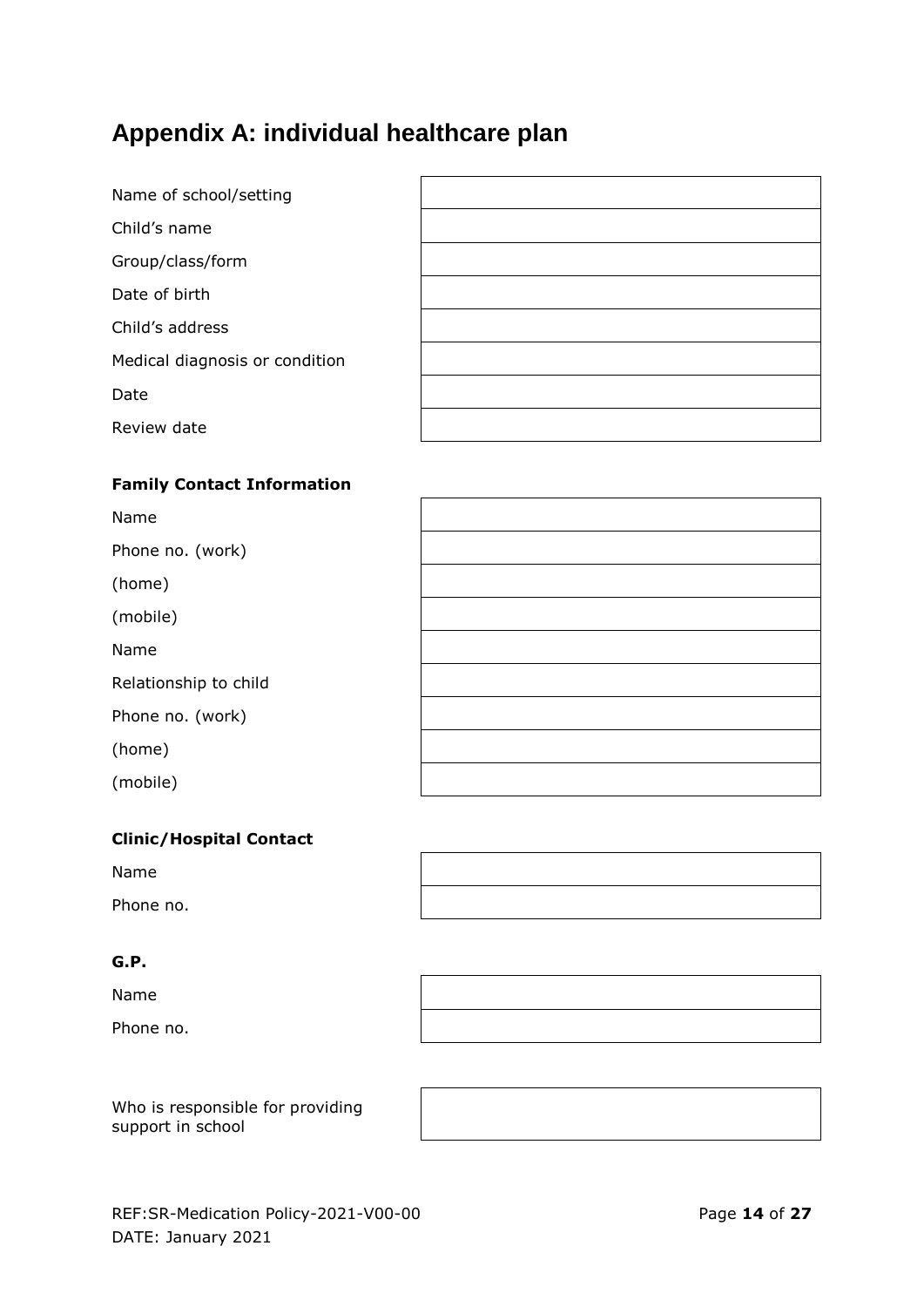# <span id="page-13-0"></span>**Appendix A: individual healthcare plan**

| Name of school/setting         |  |
|--------------------------------|--|
| Child's name                   |  |
| Group/class/form               |  |
| Date of birth                  |  |
| Child's address                |  |
| Medical diagnosis or condition |  |
| Date                           |  |
| Review date                    |  |

#### **Family Contact Information**

#### **Clinic/Hospital Contact**

Name

Phone no.

#### **G.P.**

Name

Phone no.



Who is responsible for providing support in school

 $\overline{\phantom{a}}$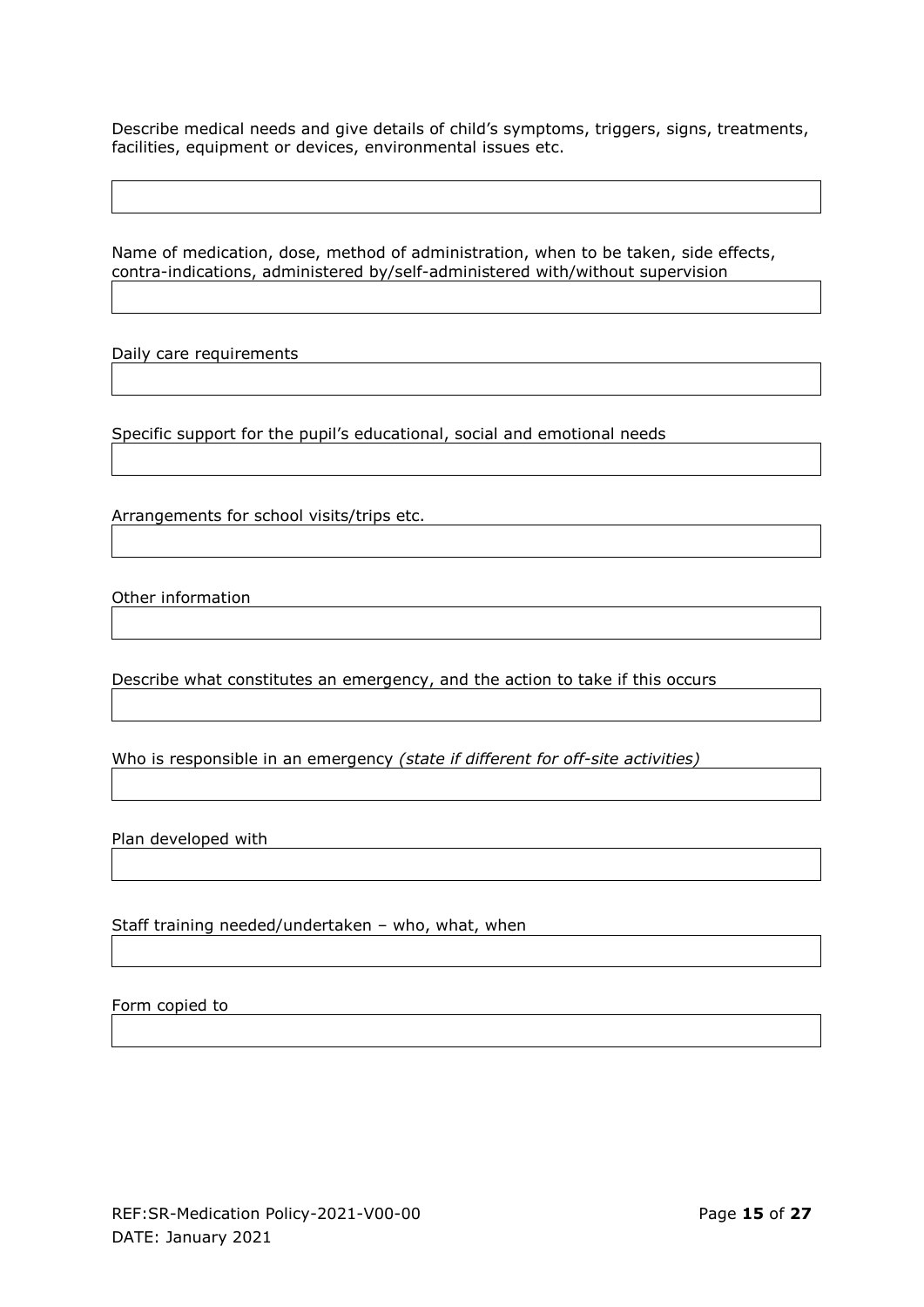Describe medical needs and give details of child's symptoms, triggers, signs, treatments, facilities, equipment or devices, environmental issues etc.

Name of medication, dose, method of administration, when to be taken, side effects, contra-indications, administered by/self-administered with/without supervision

Daily care requirements

Specific support for the pupil's educational, social and emotional needs

Arrangements for school visits/trips etc.

Other information

Describe what constitutes an emergency, and the action to take if this occurs

Who is responsible in an emergency *(state if different for off-site activities)*

Plan developed with

Staff training needed/undertaken – who, what, when

Form copied to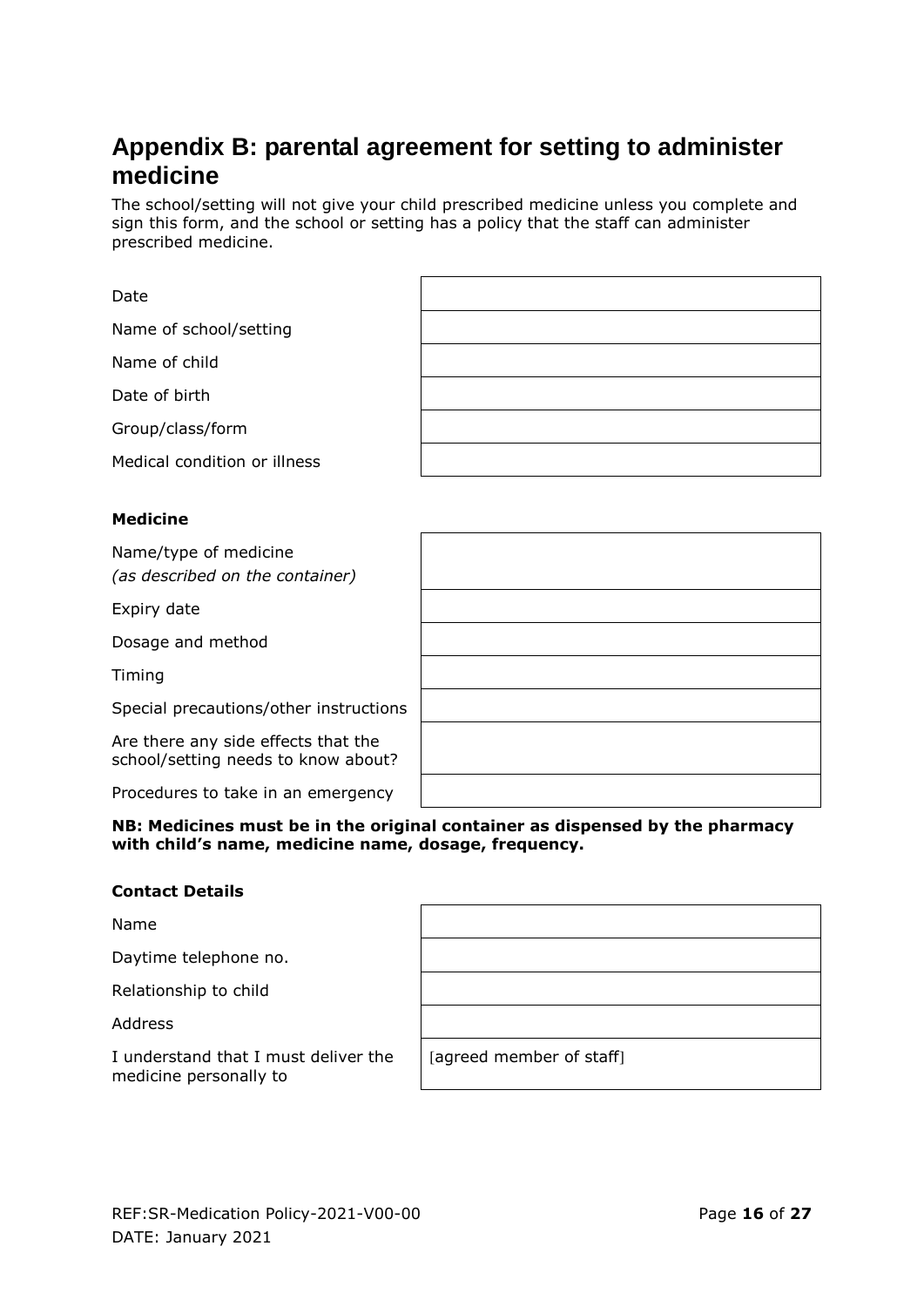## <span id="page-15-0"></span>**Appendix B: parental agreement for setting to administer medicine**

The school/setting will not give your child prescribed medicine unless you complete and sign this form, and the school or setting has a policy that the staff can administer prescribed medicine.

| Date                                                                       |  |
|----------------------------------------------------------------------------|--|
| Name of school/setting                                                     |  |
| Name of child                                                              |  |
| Date of birth                                                              |  |
| Group/class/form                                                           |  |
| Medical condition or illness                                               |  |
|                                                                            |  |
| <b>Medicine</b>                                                            |  |
| Name/type of medicine<br>(as described on the container)                   |  |
| Expiry date                                                                |  |
| Dosage and method                                                          |  |
| Timing                                                                     |  |
| Special precautions/other instructions                                     |  |
| Are there any side effects that the<br>school/setting needs to know about? |  |
| Procedures to take in an emergency                                         |  |

**NB: Medicines must be in the original container as dispensed by the pharmacy with child's name, medicine name, dosage, frequency.**

#### **Contact Details**

Name

Daytime telephone no.

Relationship to child

Address

I understand that I must deliver the medicine personally to

[agreed member of staff]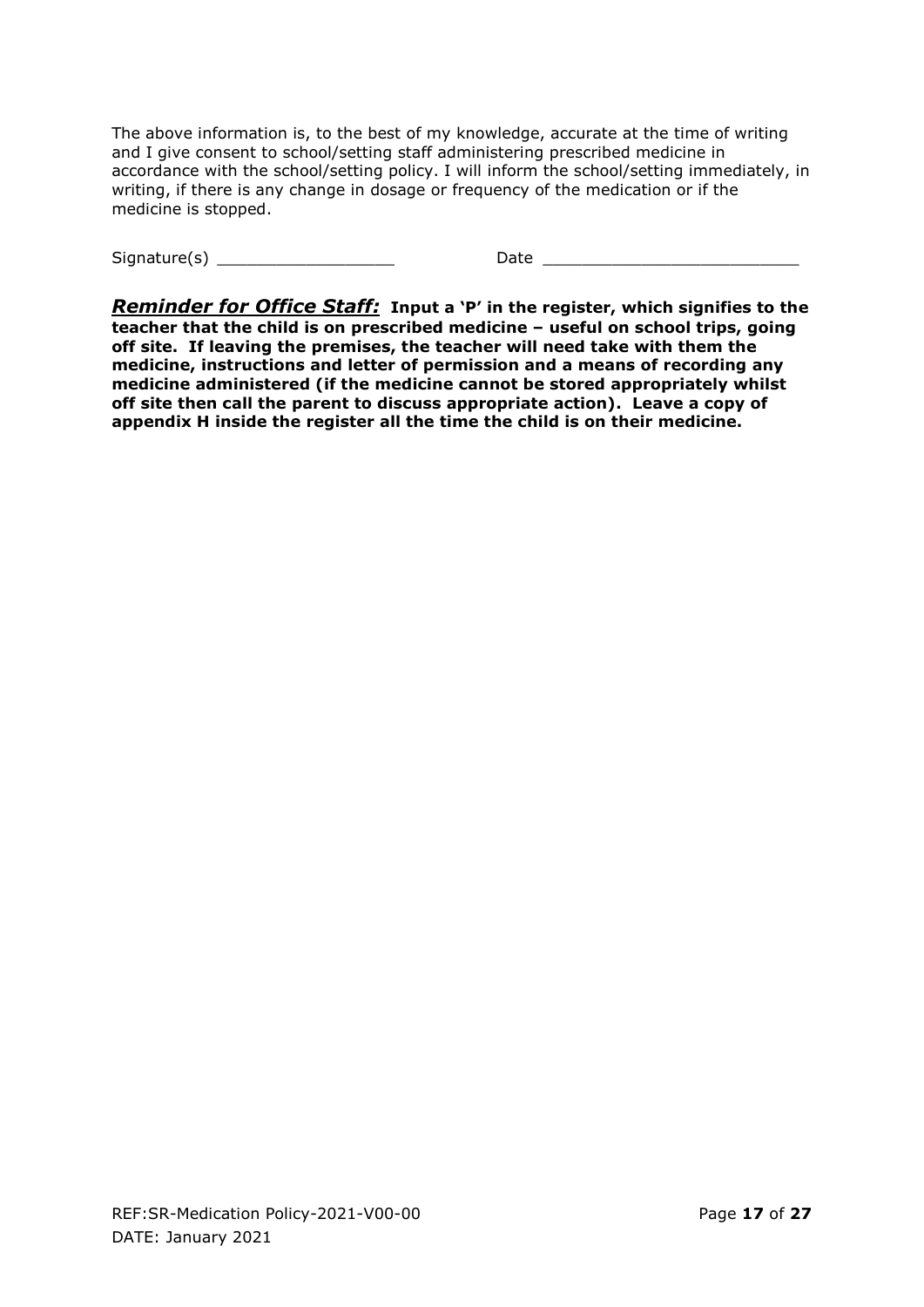The above information is, to the best of my knowledge, accurate at the time of writing and I give consent to school/setting staff administering prescribed medicine in accordance with the school/setting policy. I will inform the school/setting immediately, in writing, if there is any change in dosage or frequency of the medication or if the medicine is stopped.

Signature(s) \_\_\_\_\_\_\_\_\_\_\_\_\_\_\_\_\_\_ Date \_\_\_\_\_\_\_\_\_\_\_\_\_\_\_\_\_\_\_\_\_\_\_\_\_\_

*Reminder for Office Staff:* **Input a 'P' in the register, which signifies to the teacher that the child is on prescribed medicine – useful on school trips, going off site. If leaving the premises, the teacher will need take with them the medicine, instructions and letter of permission and a means of recording any medicine administered (if the medicine cannot be stored appropriately whilst off site then call the parent to discuss appropriate action). Leave a copy of appendix H inside the register all the time the child is on their medicine.**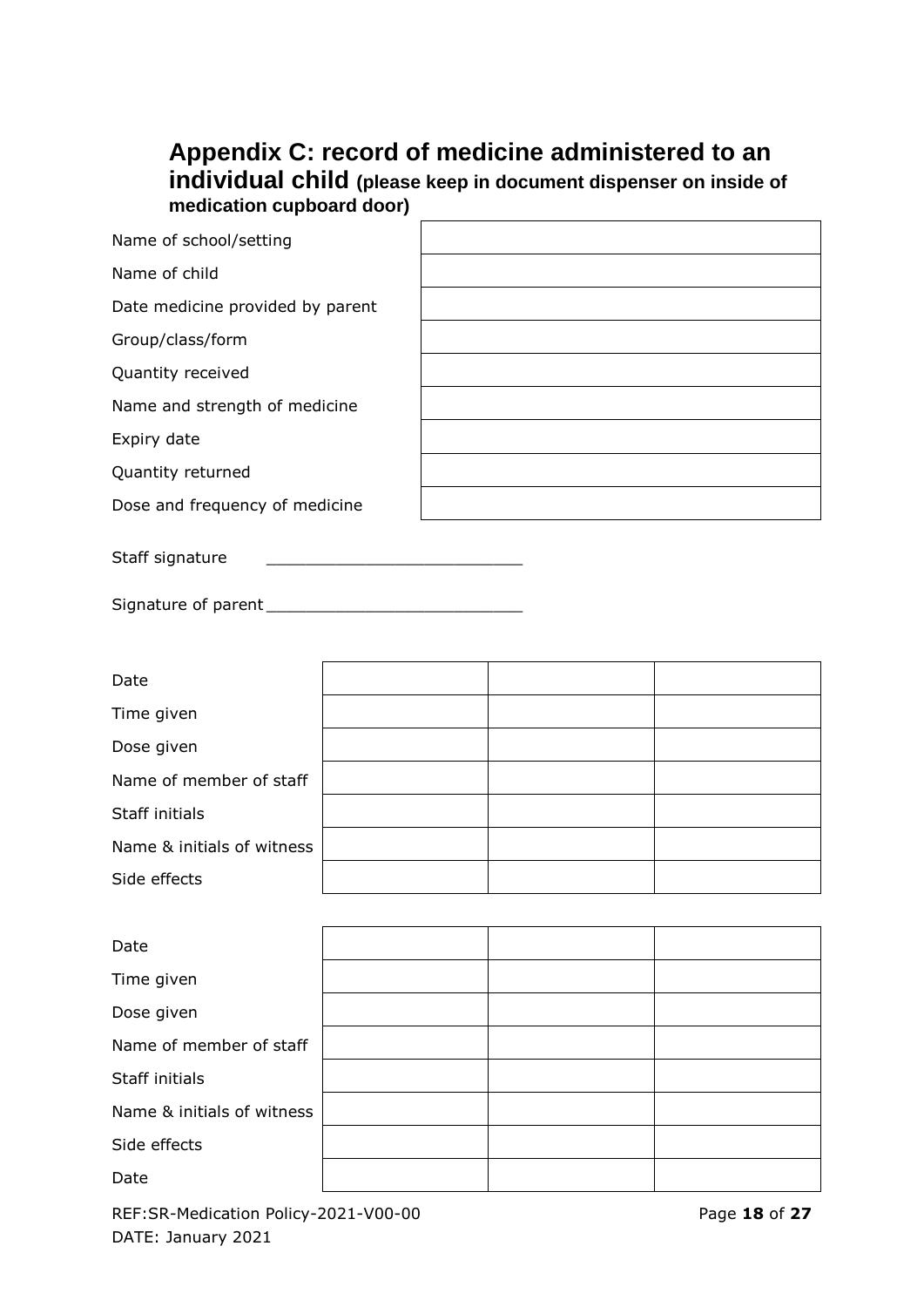## <span id="page-17-0"></span>**Appendix C: record of medicine administered to an individual child (please keep in document dispenser on inside of medication cupboard door)**

| Name of school/setting           |  |
|----------------------------------|--|
| Name of child                    |  |
| Date medicine provided by parent |  |
| Group/class/form                 |  |
| Quantity received                |  |
| Name and strength of medicine    |  |
| Expiry date                      |  |
| Quantity returned                |  |
| Dose and frequency of medicine   |  |
| Staff signature                  |  |

Signature of parent \_\_\_\_\_\_\_\_\_\_\_\_\_\_\_\_\_\_\_\_\_\_\_\_\_\_

| Date                       |  |  |
|----------------------------|--|--|
| Time given                 |  |  |
| Dose given                 |  |  |
| Name of member of staff    |  |  |
| Staff initials             |  |  |
| Name & initials of witness |  |  |
| Side effects               |  |  |

| Date                       |  |  |
|----------------------------|--|--|
| Time given                 |  |  |
| Dose given                 |  |  |
| Name of member of staff    |  |  |
| Staff initials             |  |  |
| Name & initials of witness |  |  |
| Side effects               |  |  |
| Date                       |  |  |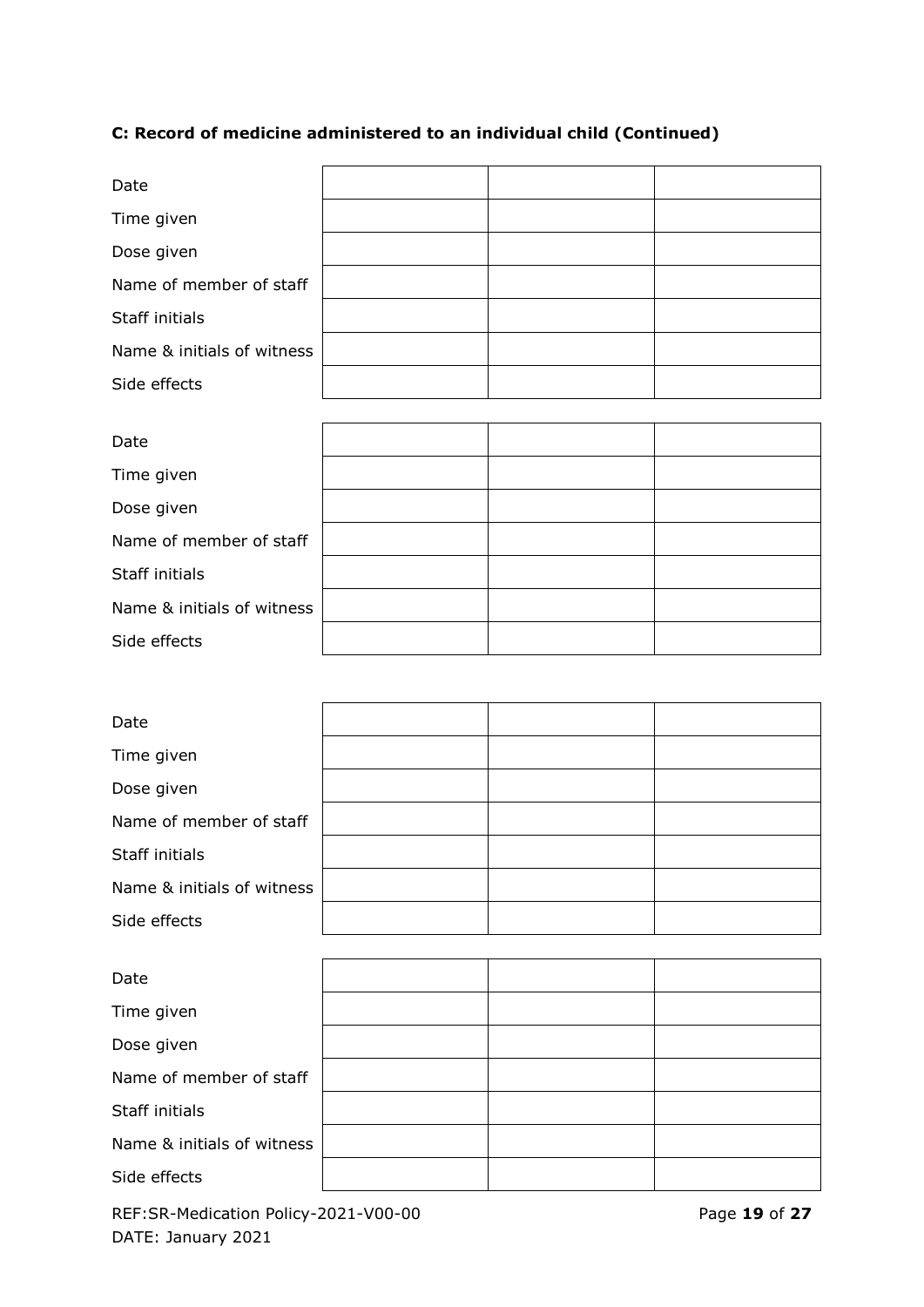# **C: Record of medicine administered to an individual child (Continued)**

| Date                       |  |  |
|----------------------------|--|--|
| Time given                 |  |  |
| Dose given                 |  |  |
| Name of member of staff    |  |  |
| Staff initials             |  |  |
| Name & initials of witness |  |  |
| Side effects               |  |  |
|                            |  |  |
| Date                       |  |  |
| Time given                 |  |  |
| Dose given                 |  |  |
| Name of member of staff    |  |  |
| Staff initials             |  |  |
| Name & initials of witness |  |  |
| Side effects               |  |  |
|                            |  |  |
| Date                       |  |  |
| Time given                 |  |  |
| Dose given                 |  |  |
| Name of member of staff    |  |  |
| Staff initials             |  |  |
| Name & initials of witness |  |  |
| Side effects               |  |  |
|                            |  |  |
| Date                       |  |  |
| Time given                 |  |  |
| Dose given                 |  |  |
| Name of member of staff    |  |  |
| Staff initials             |  |  |
| Name & initials of witness |  |  |
| Side effects               |  |  |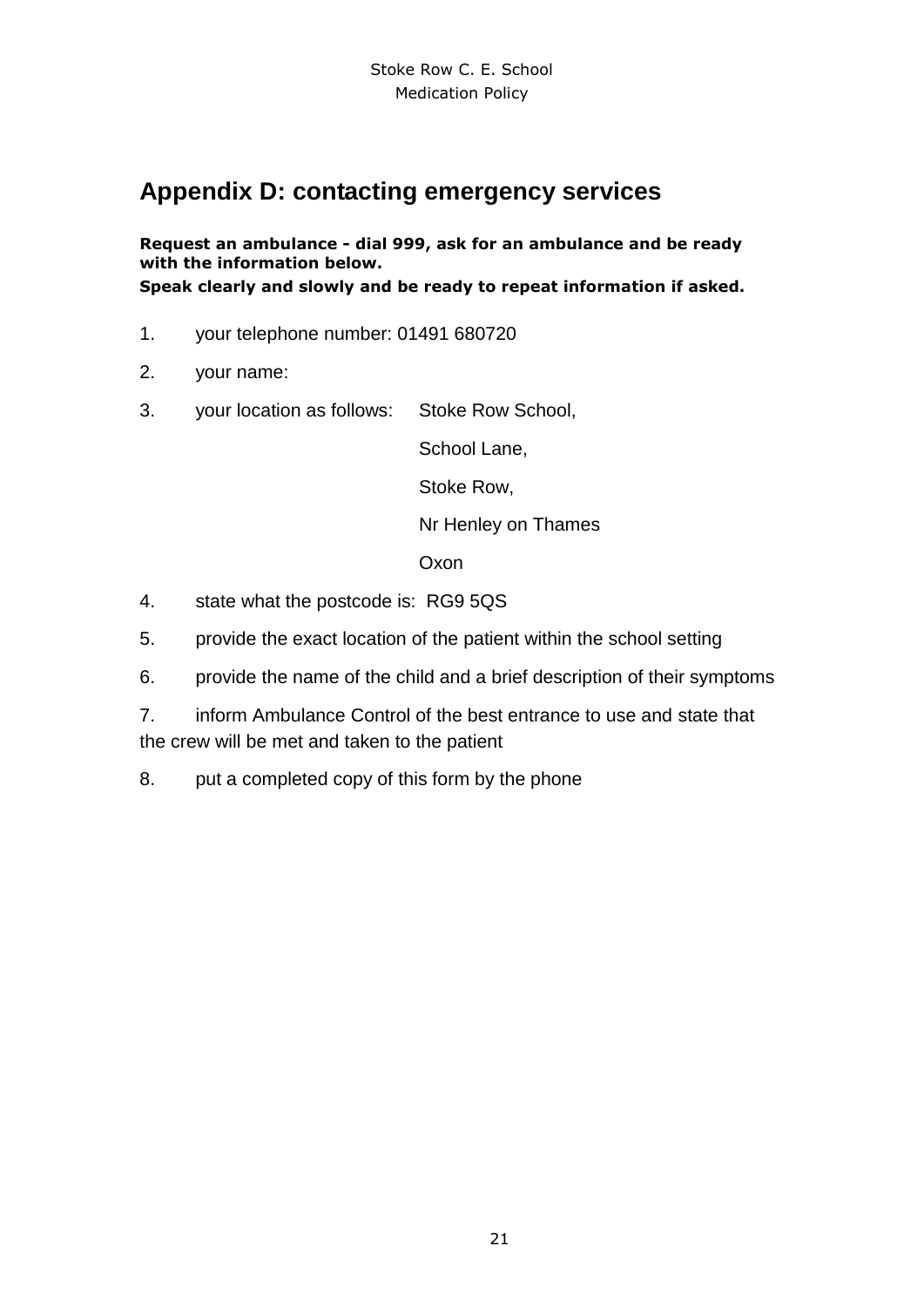## <span id="page-20-0"></span>**Appendix D: contacting emergency services**

**Request an ambulance - dial 999, ask for an ambulance and be ready with the information below. Speak clearly and slowly and be ready to repeat information if asked.**

- 1. your telephone number: 01491 680720
- 2. your name:
- 3. your location as follows: Stoke Row School,

School Lane,

Stoke Row,

Nr Henley on Thames

**Oxon** 

- 4. state what the postcode is: RG9 5QS
- 5. provide the exact location of the patient within the school setting
- 6. provide the name of the child and a brief description of their symptoms
- 7. inform Ambulance Control of the best entrance to use and state that the crew will be met and taken to the patient
- 8. put a completed copy of this form by the phone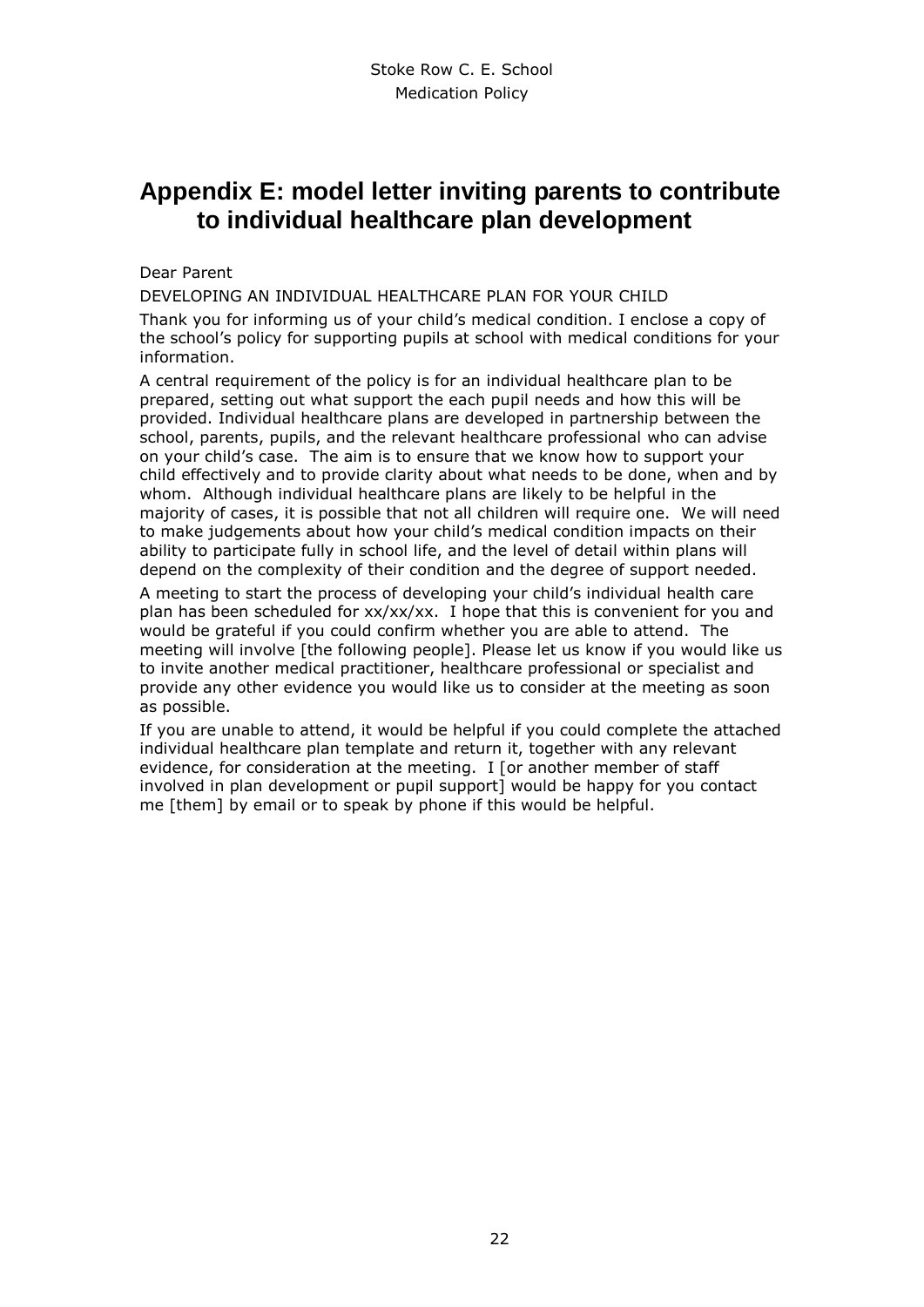## <span id="page-21-0"></span>**Appendix E: model letter inviting parents to contribute to individual healthcare plan development**

Dear Parent

DEVELOPING AN INDIVIDUAL HEALTHCARE PLAN FOR YOUR CHILD

Thank you for informing us of your child's medical condition. I enclose a copy of the school's policy for supporting pupils at school with medical conditions for your information.

A central requirement of the policy is for an individual healthcare plan to be prepared, setting out what support the each pupil needs and how this will be provided. Individual healthcare plans are developed in partnership between the school, parents, pupils, and the relevant healthcare professional who can advise on your child's case. The aim is to ensure that we know how to support your child effectively and to provide clarity about what needs to be done, when and by whom. Although individual healthcare plans are likely to be helpful in the majority of cases, it is possible that not all children will require one. We will need to make judgements about how your child's medical condition impacts on their ability to participate fully in school life, and the level of detail within plans will depend on the complexity of their condition and the degree of support needed.

A meeting to start the process of developing your child's individual health care plan has been scheduled for xx/xx/xx. I hope that this is convenient for you and would be grateful if you could confirm whether you are able to attend. The meeting will involve [the following people]. Please let us know if you would like us to invite another medical practitioner, healthcare professional or specialist and provide any other evidence you would like us to consider at the meeting as soon as possible.

If you are unable to attend, it would be helpful if you could complete the attached individual healthcare plan template and return it, together with any relevant evidence, for consideration at the meeting. I [or another member of staff involved in plan development or pupil support] would be happy for you contact me [them] by email or to speak by phone if this would be helpful.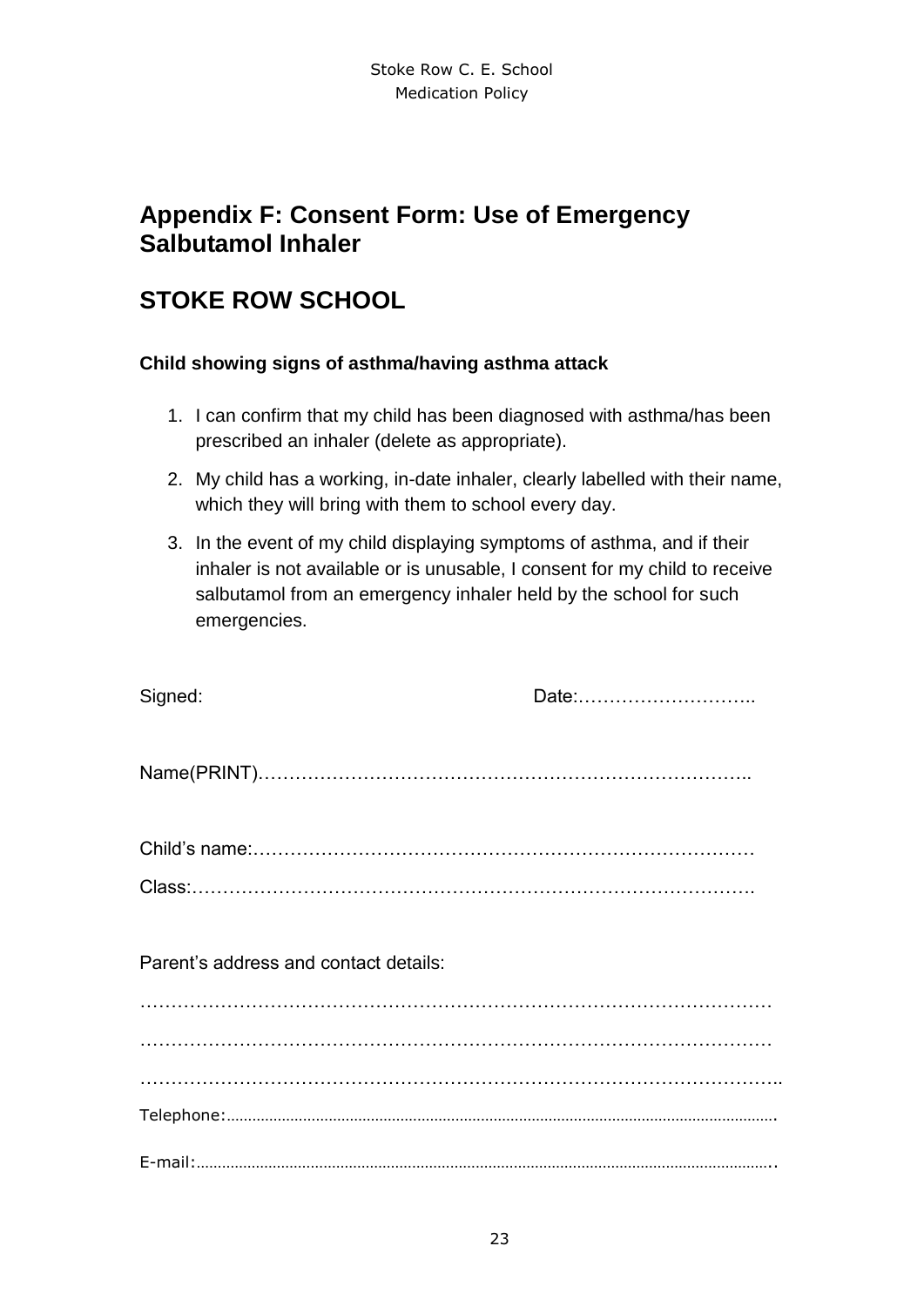## <span id="page-22-0"></span>**Appendix F: Consent Form: Use of Emergency Salbutamol Inhaler**

## **STOKE ROW SCHOOL**

#### **Child showing signs of asthma/having asthma attack**

- 1. I can confirm that my child has been diagnosed with asthma/has been prescribed an inhaler (delete as appropriate).
- 2. My child has a working, in-date inhaler, clearly labelled with their name, which they will bring with them to school every day.
- 3. In the event of my child displaying symptoms of asthma, and if their inhaler is not available or is unusable, I consent for my child to receive salbutamol from an emergency inhaler held by the school for such emergencies.

| Signed:                               | Date: |
|---------------------------------------|-------|
|                                       |       |
|                                       |       |
|                                       |       |
| Parent's address and contact details: |       |
|                                       |       |
|                                       |       |
|                                       |       |
|                                       |       |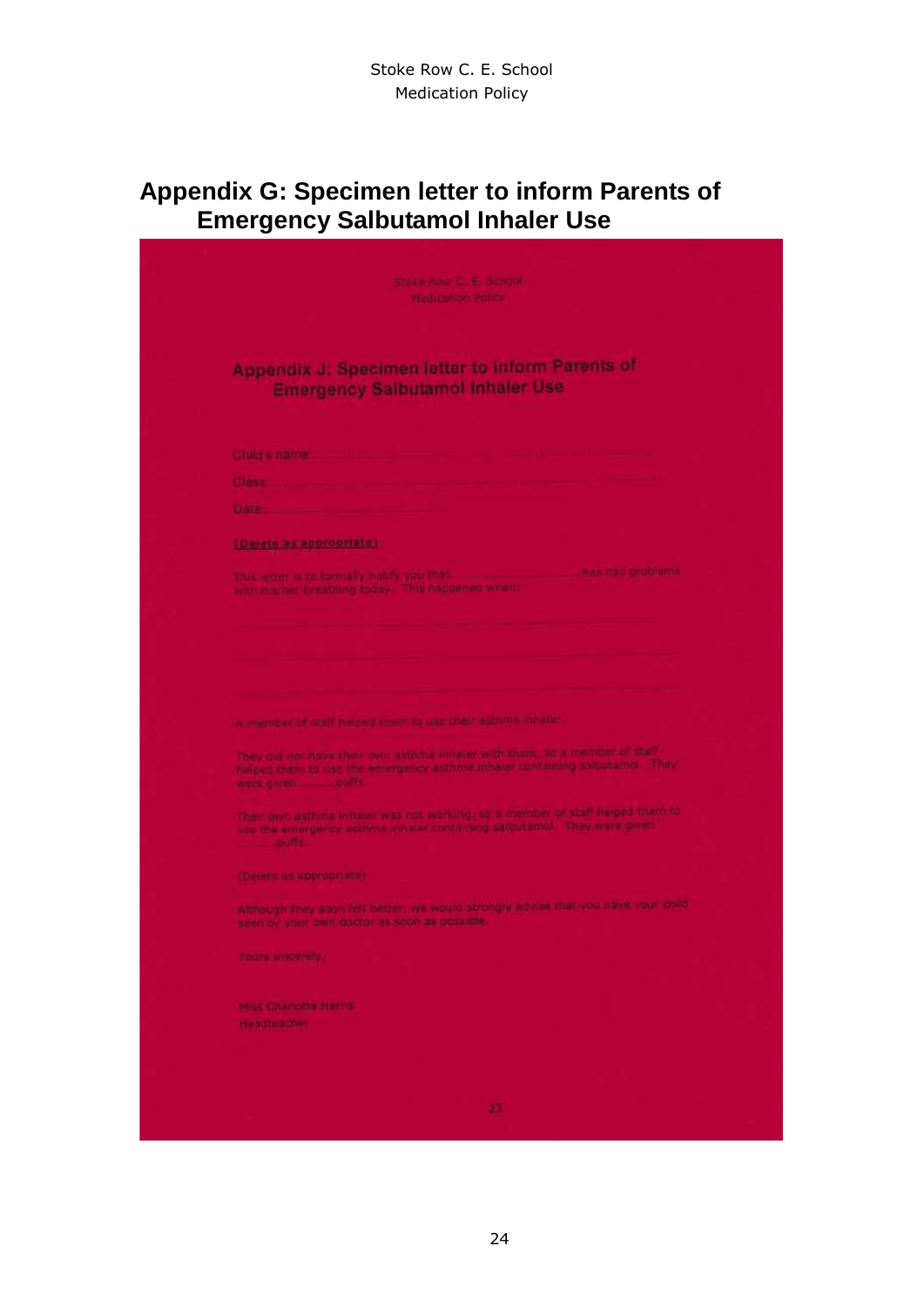# <span id="page-23-0"></span>**Appendix G: Specimen letter to inform Parents of Emergency Salbutamol Inhaler Use**

| Stave How G. E. Bishop.                                                                                                                                                                                                              |  |
|--------------------------------------------------------------------------------------------------------------------------------------------------------------------------------------------------------------------------------------|--|
|                                                                                                                                                                                                                                      |  |
| Madication Policy                                                                                                                                                                                                                    |  |
|                                                                                                                                                                                                                                      |  |
|                                                                                                                                                                                                                                      |  |
| Appendix J. Specimen letter to inform Parents of                                                                                                                                                                                     |  |
| <b>Emergency Salbutamol Inhaler Use</b>                                                                                                                                                                                              |  |
|                                                                                                                                                                                                                                      |  |
|                                                                                                                                                                                                                                      |  |
| Criticial name                                                                                                                                                                                                                       |  |
| <b>L'Institution</b>                                                                                                                                                                                                                 |  |
| states and states and states and                                                                                                                                                                                                     |  |
|                                                                                                                                                                                                                                      |  |
| [Caleto as appropriate]                                                                                                                                                                                                              |  |
| This letter is to formally notify voir that the contract the state had problems                                                                                                                                                      |  |
| with his har breathing today. This happened when:                                                                                                                                                                                    |  |
|                                                                                                                                                                                                                                      |  |
|                                                                                                                                                                                                                                      |  |
|                                                                                                                                                                                                                                      |  |
|                                                                                                                                                                                                                                      |  |
|                                                                                                                                                                                                                                      |  |
| <u>the company of the company of the company of the company of the company of the company of the company of the company of the company of the company of the company of the company of the company of the company of the company</u> |  |
| A member of staff helped them to use that actions inhibite.                                                                                                                                                                          |  |
|                                                                                                                                                                                                                                      |  |
| They did not have their own intoma unulur with them, so a memorite fistally<br>helped them to use the amargency astronal inhaler containing salbutacted. They                                                                        |  |
|                                                                                                                                                                                                                                      |  |
| Their own asthréa initater was not working, so a member of staff helped them to                                                                                                                                                      |  |
| une the emergency actions inhater containing saibutamol. They were given<br><b>CONTRACTOR</b>                                                                                                                                        |  |
|                                                                                                                                                                                                                                      |  |
| (Ciefets: us appropriate)                                                                                                                                                                                                            |  |
|                                                                                                                                                                                                                                      |  |
| Although they cook felt better, we would strongly advise that you have vour child.<br>seen by your own doctor as soon as possible                                                                                                    |  |
|                                                                                                                                                                                                                                      |  |
| fours since ear.                                                                                                                                                                                                                     |  |
|                                                                                                                                                                                                                                      |  |
| Miss Chamate Harris                                                                                                                                                                                                                  |  |
| Headteacher                                                                                                                                                                                                                          |  |
|                                                                                                                                                                                                                                      |  |
|                                                                                                                                                                                                                                      |  |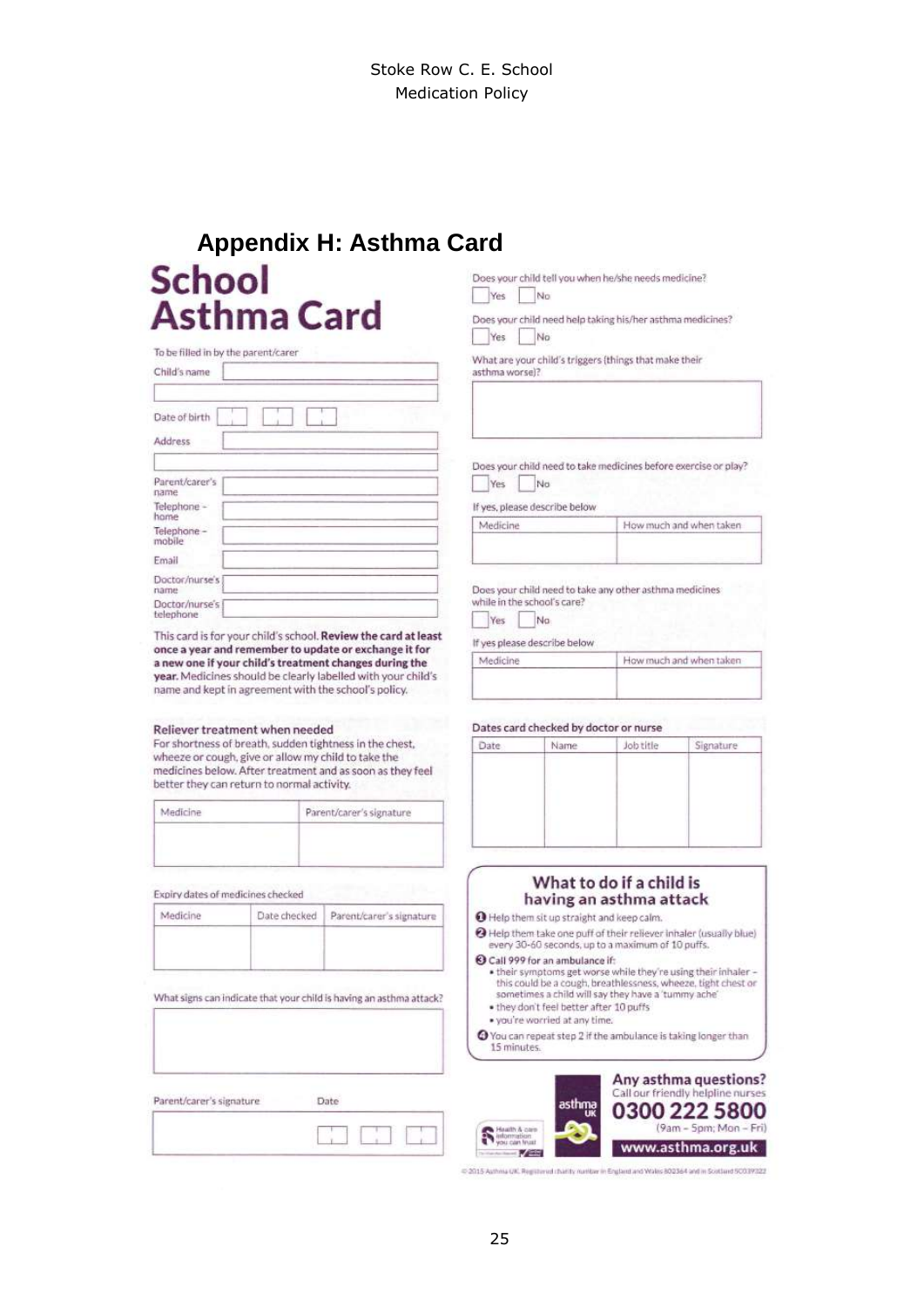# <span id="page-24-0"></span>**Appendix H: Asthma CardSchool Asthma Card**

| To be filled in by the parent/carer |  |
|-------------------------------------|--|
| Child's name                        |  |
|                                     |  |
| Date of birth                       |  |
| Address                             |  |
| Parent/carer's                      |  |
| name                                |  |
| Telephone -<br>hame                 |  |
| Telephone -<br>mobile               |  |
| Email                               |  |
| Doctor/nurse's<br>name              |  |
| Doctor/nurse's<br>telephone         |  |

This card is for your child's school. Review the card at least once a year and remember to update or exchange it for a new one if your child's treatment changes during the year. Medicines should be clearly labelled with your child's name and kept in agreement with the school's policy.

#### Reliever treatment when needed

For shortness of breath, sudden tightness in the chest, wheeze or cough, give or allow my child to take the medicines below. After treatment and as soon as they feel better they can return to normal activity.

| Aedicine<br>the structure of the structure | and it<br>Parent/carer's signature                                                                   |
|--------------------------------------------|------------------------------------------------------------------------------------------------------|
|                                            | the control of the control of<br><b>Service Administration</b><br>production and control of the con- |
|                                            |                                                                                                      |
|                                            | <b>COMPANY</b>                                                                                       |

Expiry dates of medicines checked

| Date checked | Parent/carer's signature |
|--------------|--------------------------|
|              |                          |
|              |                          |
|              |                          |

What signs can indicate that your child is having an asthma attack?

| Parent/carer's signature |   |
|--------------------------|---|
|                          | × |

Does your child tell you when he/she needs medicine? Yes  $N<sub>0</sub>$ 

Does your child need help taking his/her asthma medicines? No Yes

What are your child's triggers (things that make their asthma worsel?

Does your child need to take medicines before exercise or play?  $Yes$  No

If yes, please describe below



Does your child need to take any other asthma medicines while in the school's care?

#### Yes No

If yes please describe below

| Medicine | How much and when taken |
|----------|-------------------------|
|          |                         |
|          |                         |

#### Dates card checked by doctor or nurse

| Date. | Name | Job title | Signature |
|-------|------|-----------|-----------|
|       |      |           |           |
|       |      |           |           |
|       |      |           |           |
|       |      |           |           |
|       |      |           |           |
|       |      |           |           |
|       |      |           |           |

#### What to do if a child is having an asthma attack

O Help them sit up straight and keep calm.

@ Help them take one puff of their reliever inhaler (usually blue) every 30-60 seconds, up to a maximum of 10 puffs.

#### Call 999 for an ambulance if:

- . their symptoms get worse while they're using their inhaler this could be a cough, breathlessness, wheeze, tight chest or<br>sometimes a child will say they have a 'tummy ache'
- . they don't feel better after 10 puffs . you're worried at any time
- 
- O You can repeat step 2 if the ambulance is taking longer than 15 minutes.

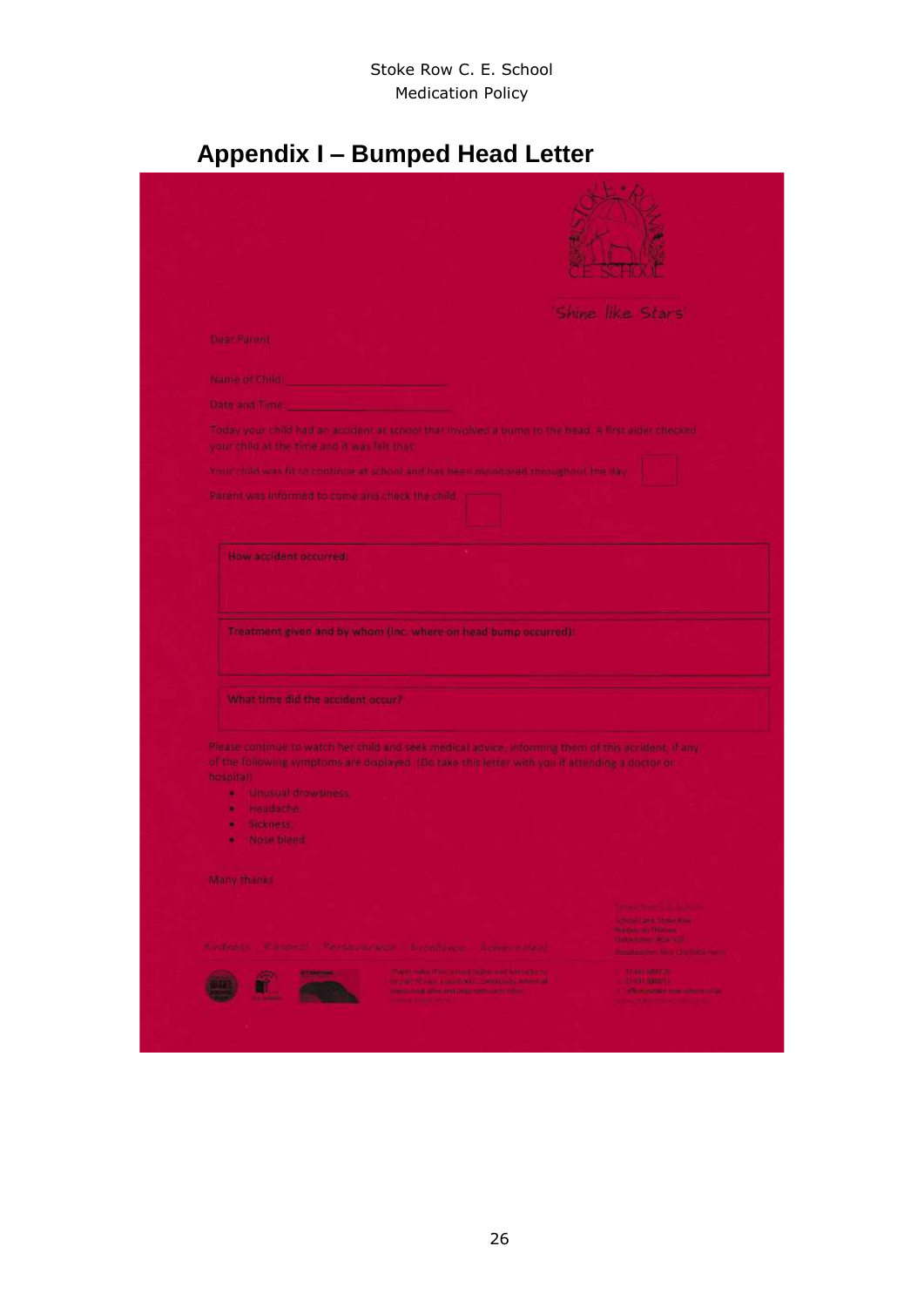# **Appendix I – Bumped Head Letter**

<span id="page-25-0"></span>

|                                                 |                                                                                                                                                         | Shine like Stars                                                            |
|-------------------------------------------------|---------------------------------------------------------------------------------------------------------------------------------------------------------|-----------------------------------------------------------------------------|
| Dear Parent                                     |                                                                                                                                                         |                                                                             |
|                                                 |                                                                                                                                                         |                                                                             |
| Name of Child:                                  |                                                                                                                                                         |                                                                             |
| <b>Date and Time.</b>                           |                                                                                                                                                         |                                                                             |
|                                                 | Today your child had an acudent at school that involved a bump to the head. A first aider chocked                                                       |                                                                             |
| your child at the time and it was felt that:    |                                                                                                                                                         |                                                                             |
|                                                 | Votin child was fit to continue at school and has hear monitored throughout the day.                                                                    |                                                                             |
| Parant was informed to come and check the child |                                                                                                                                                         |                                                                             |
|                                                 |                                                                                                                                                         |                                                                             |
|                                                 |                                                                                                                                                         |                                                                             |
|                                                 |                                                                                                                                                         |                                                                             |
| How accident occurred:                          |                                                                                                                                                         |                                                                             |
|                                                 |                                                                                                                                                         |                                                                             |
|                                                 | Treatment given and by whom (inc. where on head bump occurred):                                                                                         |                                                                             |
|                                                 |                                                                                                                                                         |                                                                             |
| What time did the accident occur?               |                                                                                                                                                         |                                                                             |
|                                                 |                                                                                                                                                         |                                                                             |
|                                                 | Please continue to watch her child and seek medical advice, informing them of this accident, if any                                                     |                                                                             |
|                                                 | of the following symptoms are displayed. (Do take this letter with you if attending a doctor or                                                         |                                                                             |
| <b>Mospital</b> )<br>. Unusual drowsmess        |                                                                                                                                                         |                                                                             |
| Haadache.<br>٠                                  |                                                                                                                                                         |                                                                             |
| Sickness.<br>٠<br>۰                             |                                                                                                                                                         |                                                                             |
| Nose bleed                                      |                                                                                                                                                         |                                                                             |
| Mary thanks                                     |                                                                                                                                                         |                                                                             |
|                                                 |                                                                                                                                                         |                                                                             |
|                                                 |                                                                                                                                                         | <b>Service States Constitutions</b><br>school little street town            |
|                                                 |                                                                                                                                                         | Mandato and Partners's<br>ciable turners (Car SO)                           |
|                                                 | Kindrahli - Kabasal - Ransas krimto - Syddianus - Adalaus Newl                                                                                          | Handball for Man Christophe Green                                           |
| <b>MEDICAL CONTRACT</b><br>isto.                | TOWARD SURFACE REPORT OF DEALERSHIPS AND RELEASED TO<br>depart of each a state boat, program to which all<br>pages man after and page officially enter- | <b>CONTRACTOR</b><br>$-3149799001 -$<br>the affirmation from actional lange |